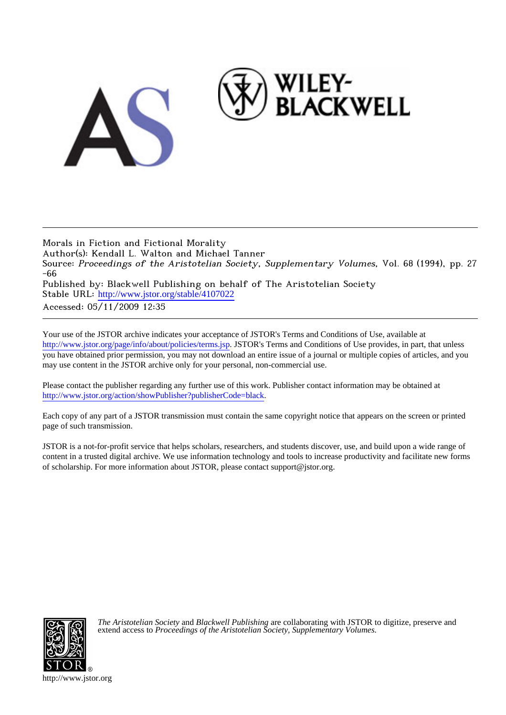

Morals in Fiction and Fictional Morality Author(s): Kendall L. Walton and Michael Tanner Source: Proceedings of the Aristotelian Society, Supplementary Volumes, Vol. 68 (1994), pp. 27 -66 Published by: Blackwell Publishing on behalf of The Aristotelian Society Stable URL: [http://www.jstor.org/stable/4107022](https://www.jstor.org/stable/4107022?origin=JSTOR-pdf) Accessed: 05/11/2009 12:35

Your use of the JSTOR archive indicates your acceptance of JSTOR's Terms and Conditions of Use, available at [http://www.jstor.org/page/info/about/policies/terms.jsp](https://www.jstor.org/page/info/about/policies/terms.jsp). JSTOR's Terms and Conditions of Use provides, in part, that unless you have obtained prior permission, you may not download an entire issue of a journal or multiple copies of articles, and you may use content in the JSTOR archive only for your personal, non-commercial use.

Please contact the publisher regarding any further use of this work. Publisher contact information may be obtained at [http://www.jstor.org/action/showPublisher?publisherCode=black.](https://www.jstor.org/action/showPublisher?publisherCode=black)

Each copy of any part of a JSTOR transmission must contain the same copyright notice that appears on the screen or printed page of such transmission.

JSTOR is a not-for-profit service that helps scholars, researchers, and students discover, use, and build upon a wide range of content in a trusted digital archive. We use information technology and tools to increase productivity and facilitate new forms of scholarship. For more information about JSTOR, please contact support@jstor.org.



*The Aristotelian Society* and *Blackwell Publishing* are collaborating with JSTOR to digitize, preserve and extend access to *Proceedings of the Aristotelian Society, Supplementary Volumes.*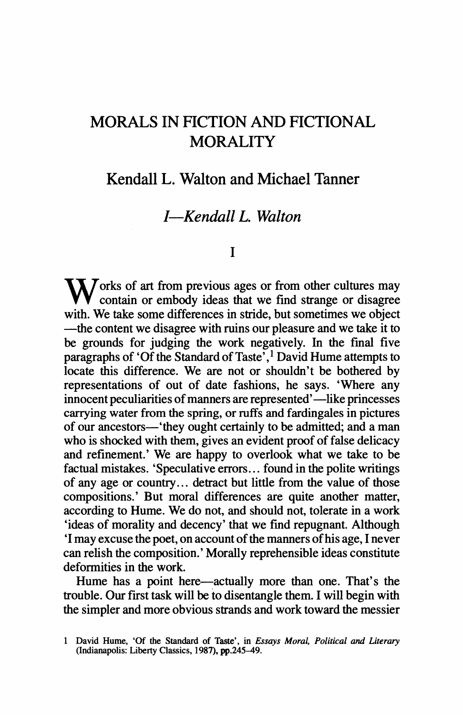# **MORALS IN FICTION AND FICTIONAL MORALITY**

## **Kendall L. Walton and Michael Tanner**

## **I-Kendall L. Walton**

## **I**

Works of art from previous ages or from other cultures may contain or embody ideas that we find strange or disagree **with. We take some differences in stride, but sometimes we object -the content we disagree with ruins our pleasure and we take it to be grounds for judging the work negatively. In the final five paragraphs of 'Of the Standard of Taste',1 David Hume attempts to locate this difference. We are not or shouldn't be bothered by representations of out of date fashions, he says. 'Where any innocent peculiarities of manners are represented'-like princesses carrying water from the spring, or ruffs and fardingales in pictures of our ancestors-'they ought certainly to be admitted; and a man who is shocked with them, gives an evident proof of false delicacy and refinement.' We are happy to overlook what we take to be factual mistakes. 'Speculative errors... found in the polite writings of any age or country... detract but little from the value of those compositions.' But moral differences are quite another matter, according to Hume. We do not, and should not, tolerate in a work 'ideas of morality and decency' that we find repugnant. Although 'I may excuse the poet, on account of the manners of his age, I never can relish the composition.' Morally reprehensible ideas constitute deformities in the work.** 

Hume has a point here—actually more than one. That's the **trouble. Our first task will be to disentangle them. I will begin with the simpler and more obvious strands and work toward the messier** 

**<sup>1</sup> David Hume, 'Of the Standard of Taste', in Essays Moral, Political and Literary (Indianapolis: Liberty Classics, 1987), pp.245-49.**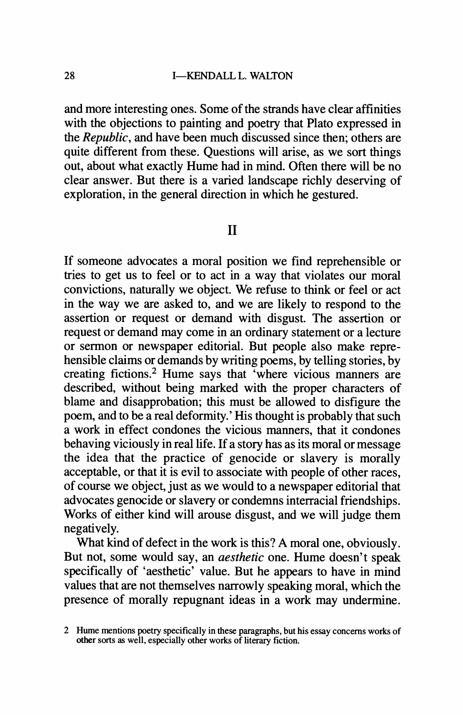**and more interesting ones. Some of the strands have clear affinities with the objections to painting and poetry that Plato expressed in the Republic, and have been much discussed since then; others are quite different from these. Questions will arise, as we sort things out, about what exactly Hume had in mind. Often there will be no clear answer. But there is a varied landscape richly deserving of exploration, in the general direction in which he gestured.** 

#### **II**

**If someone advocates a moral position we find reprehensible or tries to get us to feel or to act in a way that violates our moral convictions, naturally we object. We refuse to think or feel or act in the way we are asked to, and we are likely to respond to the assertion or request or demand with disgust. The assertion or request or demand may come in an ordinary statement or a lecture or sermon or newspaper editorial. But people also make reprehensible claims or demands by writing poems, by telling stories, by creating fictions.2 Hume says that 'where vicious manners are described, without being marked with the proper characters of blame and disapprobation; this must be allowed to disfigure the poem, and to be a real deformity.' His thought is probably that such a work in effect condones the vicious manners, that it condones behaving viciously in real life. If a story has as its moral or message the idea that the practice of genocide or slavery is morally acceptable, or that it is evil to associate with people of other races, of course we object, just as we would to a newspaper editorial that advocates genocide or slavery or condemns interracial friendships. Works of either kind will arouse disgust, and we will judge them negatively.** 

**What kind of defect in the work is this? A moral one, obviously. But not, some would say, an aesthetic one. Hume doesn't speak specifically of 'aesthetic' value. But he appears to have in mind values that are not themselves narrowly speaking moral, which the presence of morally repugnant ideas in a work may undermine.** 

**<sup>2</sup> Hume mentions poetry specifically in these paragraphs, but his essay concerns works of other sorts as well, especially other works of literary fiction.**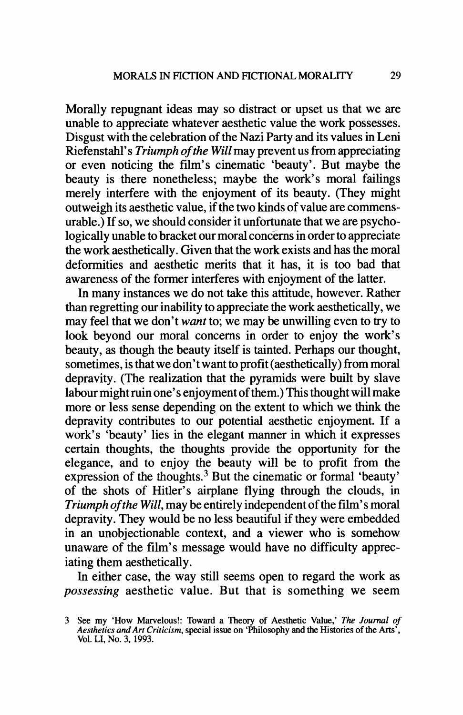**Morally repugnant ideas may so distract or upset us that we are unable to appreciate whatever aesthetic value the work possesses. Disgust with the celebration of the Nazi Party and its values in Leni Riefenstahl's Triumph of the Will may prevent us from appreciating or even noticing the film's cinematic 'beauty'. But maybe the beauty is there nonetheless; maybe the work's moral failings merely interfere with the enjoyment of its beauty. (They might outweigh its aesthetic value, if the two kinds of value are commensurable.) If so, we should consider it unfortunate that we are psychologically unable to bracket our moral concerns in order to appreciate the work aesthetically. Given that the work exists and has the moral deformities and aesthetic merits that it has, it is too bad that awareness of the former interferes with enjoyment of the latter.** 

**In many instances we do not take this attitude, however. Rather than regretting our inability to appreciate the work aesthetically, we may feel that we don't want to; we may be unwilling even to try to look beyond our moral concerns in order to enjoy the work's beauty, as though the beauty itself is tainted. Perhaps our thought, sometimes, is that we don't want to profit (aesthetically) from moral depravity. (The realization that the pyramids were built by slave labour might ruin one's enjoyment of them.) This thought will make more or less sense depending on the extent to which we think the depravity contributes to our potential aesthetic enjoyment. If a work's 'beauty' lies in the elegant manner in which it expresses certain thoughts, the thoughts provide the opportunity for the elegance, and to enjoy the beauty will be to profit from the expression of the thoughts.3 But the cinematic or formal 'beauty' of the shots of Hitler's airplane flying through the clouds, in Triumph of the Will, may be entirely independent of the film's moral depravity. They would be no less beautiful if they were embedded in an unobjectionable context, and a viewer who is somehow unaware of the film's message would have no difficulty appreciating them aesthetically.** 

**In either case, the way still seems open to regard the work as possessing aesthetic value. But that is something we seem** 

**<sup>3</sup> See my 'How Marvelous!: Toward a Theory of Aesthetic Value,' The Journal of Aesthetics and Art Criticism, special issue on 'Philosophy and the Histories of the Arts', Vol. LI, No. 3, 1993.**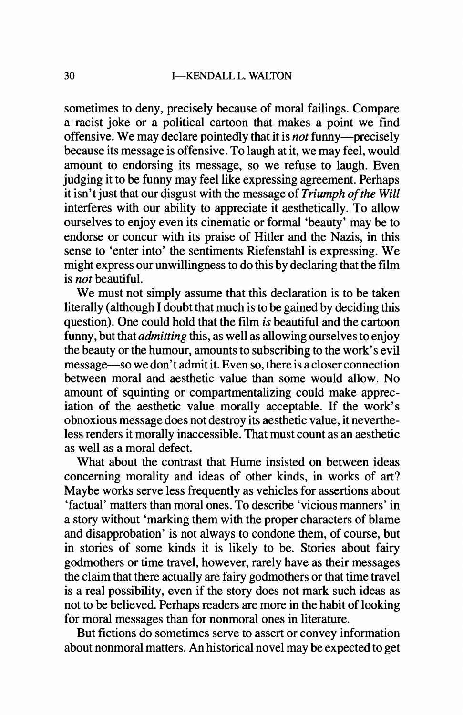**sometimes to deny, precisely because of moral failings. Compare a racist joke or a political cartoon that makes a point we find offensive. We may declare pointedly that it is not funny-precisely because its message is offensive. To laugh at it, we may feel, would amount to endorsing its message, so we refuse to laugh. Even judging it to be funny may feel like expressing agreement. Perhaps it isn't just that our disgust with the message of Triumph of the Will interferes with our ability to appreciate it aesthetically. To allow ourselves to enjoy even its cinematic or formal 'beauty' may be to endorse or concur with its praise of Hitler and the Nazis, in this sense to 'enter into' the sentiments Riefenstahl is expressing. We might express our unwillingness to do this by declaring that the film is not beautiful.** 

**We must not simply assume that this declaration is to be taken literally (although I doubt that much is to be gained by deciding this question). One could hold that the film is beautiful and the cartoon funny, but that admitting this, as well as allowing ourselves to enjoy the beauty or the humour, amounts to subscribing to the work's evil message-so we don't admit it. Even so, there is a closer connection between moral and aesthetic value than some would allow. No amount of squinting or compartmentalizing could make appreciation of the aesthetic value morally acceptable. If the work's obnoxious message does not destroy its aesthetic value, it nevertheless renders it morally inaccessible. That must count as an aesthetic as well as a moral defect.** 

**What about the contrast that Hume insisted on between ideas concerning morality and ideas of other kinds, in works of art? Maybe works serve less frequently as vehicles for assertions about 'factual' matters than moral ones. To describe 'vicious manners' in a story without 'marking them with the proper characters of blame and disapprobation' is not always to condone them, of course, but in stories of some kinds it is likely to be. Stories about fairy godmothers or time travel, however, rarely have as their messages the claim that there actually are fairy godmothers or that time travel is a real possibility, even if the story does not mark such ideas as not to be believed. Perhaps readers are more in the habit of looking for moral messages than for nonmoral ones in literature.** 

**But fictions do sometimes serve to assert or convey information about nonmoral matters. An historical novel may be expected to get**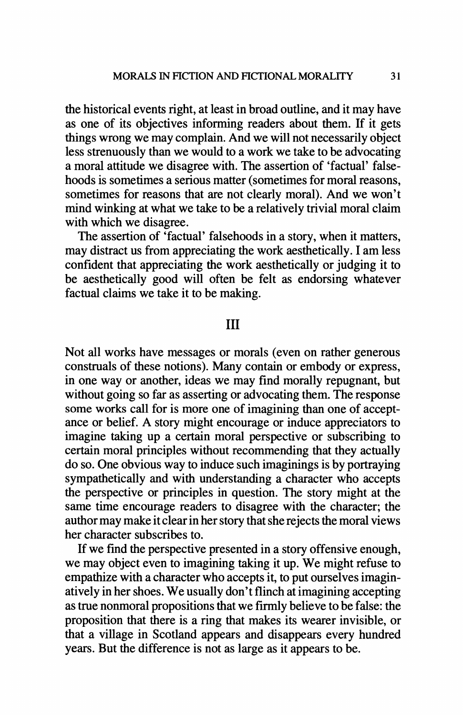**the historical events right, at least in broad outline, and it may have as one of its objectives informing readers about them. If it gets things wrong we may complain. And we will not necessarily object less strenuously than we would to a work we take to be advocating a moral attitude we disagree with. The assertion of 'factual' falsehoods is sometimes a serious matter (sometimes for moral reasons, sometimes for reasons that are not clearly moral). And we won't mind winking at what we take to be a relatively trivial moral claim with which we disagree.** 

**The assertion of 'factual' falsehoods in a story, when it matters, may distract us from appreciating the work aesthetically. I am less confident that appreciating the work aesthetically or judging it to be aesthetically good will often be felt as endorsing whatever factual claims we take it to be making.** 

#### **III**

**Not all works have messages or morals (even on rather generous construals of these notions). Many contain or embody or express, in one way or another, ideas we may find morally repugnant, but without going so far as asserting or advocating them. The response some works call for is more one of imagining than one of acceptance or belief. A story might encourage or induce appreciators to imagine taking up a certain moral perspective or subscribing to certain moral principles without recommending that they actually do so. One obvious way to induce such imaginings is by portraying sympathetically and with understanding a character who accepts the perspective or principles in question. The story might at the same time encourage readers to disagree with the character; the author may make it clear in her story that she rejects the moral views her character subscribes to.** 

**If we find the perspective presented in a story offensive enough, we may object even to imagining taking it up. We might refuse to empathize with a character who accepts it, to put ourselves imaginatively in her shoes. We usually don't flinch at imagining accepting as true nonmoral propositions that we firmly believe to be false: the proposition that there is a ring that makes its wearer invisible, or that a village in Scotland appears and disappears every hundred years. But the difference is not as large as it appears to be.**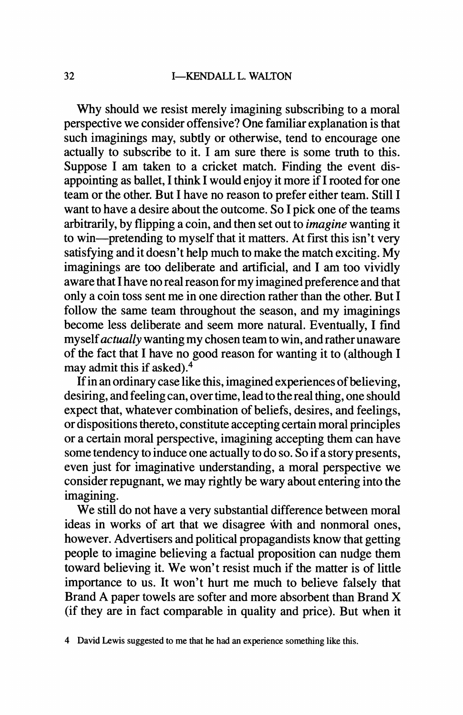**Why should we resist merely imagining subscribing to a moral perspective we consider offensive? One familiar explanation is that such imaginings may, subtly or otherwise, tend to encourage one actually to subscribe to it. I am sure there is some truth to this. Suppose I am taken to a cricket match. Finding the event disappointing as ballet, I think I would enjoy it more if I rooted for one team or the other. But I have no reason to prefer either team. Still I want to have a desire about the outcome. So I pick one of the teams arbitrarily, by flipping a coin, and then set out to imagine wanting it to win-pretending to myself that it matters. At first this isn't very satisfying and it doesn't help much to make the match exciting. My imaginings are too deliberate and artificial, and I am too vividly aware that I have no real reason for my imagined preference and that only a coin toss sent me in one direction rather than the other. But I follow the same team throughout the season, and my imaginings become less deliberate and seem more natural. Eventually, I find myself actually wanting my chosen team to win, and rather unaware of the fact that I have no good reason for wanting it to (although I may admit this if asked).4** 

**If in an ordinary case like this, imagined experiences of believing, desiring, and feeling can, over time, lead to the real thing, one should expect that, whatever combination of beliefs, desires, and feelings, or dispositions thereto, constitute accepting certain moral principles or a certain moral perspective, imagining accepting them can have some tendency to induce one actually to do so. So if a story presents, even just for imaginative understanding, a moral perspective we consider repugnant, we may rightly be wary about entering into the imagining.** 

**We still do not have a very substantial difference between moral**  ideas in works of art that we disagree with and nonmoral ones. **however. Advertisers and political propagandists know that getting people to imagine believing a factual proposition can nudge them toward believing it. We won't resist much if the matter is of little importance to us. It won't hurt me much to believe falsely that Brand A paper towels are softer and more absorbent than Brand X (if they are in fact comparable in quality and price). But when it** 

**4 David Lewis suggested to me that he had an experience something like this.**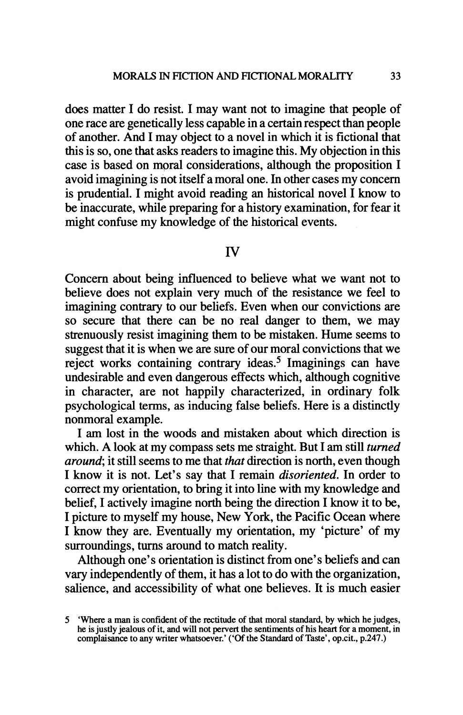**does matter I do resist. I may want not to imagine that people of one race are genetically less capable in a certain respect than people of another. And I may object to a novel in which it is fictional that this is so, one that asks readers to imagine this. My objection in this case is based on moral considerations, although the proposition I avoid imagining is not itself a moral one. In other cases my concern is prudential. I might avoid reading an historical novel I know to be inaccurate, while preparing for a history examination, for fear it might confuse my knowledge of the historical events.** 

#### **IV**

**Concern about being influenced to believe what we want not to believe does not explain very much of the resistance we feel to imagining contrary to our beliefs. Even when our convictions are so secure that there can be no real danger to them, we may strenuously resist imagining them to be mistaken. Hume seems to suggest that it is when we are sure of our moral convictions that we reject works containing contrary ideas.5 Imaginings can have undesirable and even dangerous effects which, although cognitive in character, are not happily characterized, in ordinary folk psychological terms, as inducing false beliefs. Here is a distinctly nonmoral example.** 

**I am lost in the woods and mistaken about which direction is which. A look at my compass sets me straight. But I am still turned around; it still seems to me that that direction is north, even though I know it is not. Let's say that I remain disoriented. In order to correct my orientation, to bring it into line with my knowledge and belief, I actively imagine north being the direction I know it to be, I picture to myself my house, New York, the Pacific Ocean where I know they are. Eventually my orientation, my 'picture' of my surroundings, turns around to match reality.** 

**Although one's orientation is distinct from one's beliefs and can vary independently of them, it has a lot to do with the organization, salience, and accessibility of what one believes. It is much easier** 

**<sup>5 &#</sup>x27;Where a man is confident of the rectitude of that moral standard, by which he judges, he is justly jealous of it, and will not pervert the sentiments of his heart for a moment, in complaisance to any writer whatsoever.' ('Of the Standard of Taste', op.cit., p.247.)**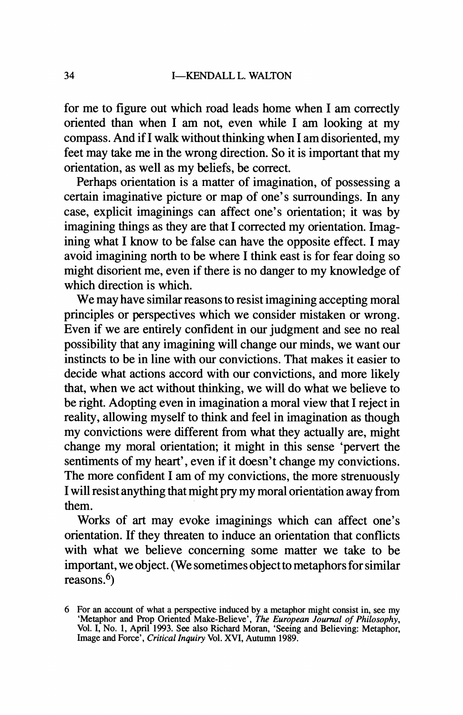**for me to figure out which road leads home when I am correctly oriented than when I am not, even while I am looking at my compass. And if I walk without thinking when I am disoriented, my feet may take me in the wrong direction. So it is important that my orientation, as well as my beliefs, be correct.** 

**Perhaps orientation is a matter of imagination, of possessing a certain imaginative picture or map of one's surroundings. In any case, explicit imaginings can affect one's orientation; it was by imagining things as they are that I corrected my orientation. Imagining what I know to be false can have the opposite effect. I may avoid imagining north to be where I think east is for fear doing so might disorient me, even if there is no danger to my knowledge of which direction is which.** 

**We may have similar reasons to resist imagining accepting moral principles or perspectives which we consider mistaken or wrong. Even if we are entirely confident in our judgment and see no real possibility that any imagining will change our minds, we want our instincts to be in line with our convictions. That makes it easier to decide what actions accord with our convictions, and more likely that, when we act without thinking, we will do what we believe to be right. Adopting even in imagination a moral view that I reject in reality, allowing myself to think and feel in imagination as though my convictions were different from what they actually are, might change my moral orientation; it might in this sense 'pervert the sentiments of my heart', even if it doesn't change my convictions. The more confident I am of my convictions, the more strenuously I will resist anything that might pry my moral orientation away from them.** 

**Works of art may evoke imaginings which can affect one's orientation. If they threaten to induce an orientation that conflicts with what we believe concerning some matter we take to be important, we object. (We sometimes object to metaphors for similar reasons.6)** 

<sup>6</sup> For an account of what a perspective induced by a metaphor might consist in, see my 'Metaphor and Prop Oriented Make-Believe', *The European Journal of Philosophy*, Vol. I, No. 1, April 1993. See also Richard Moran, 'See **Image and Force', Critical Inquiry Vol. XVI, Autumn 1989.**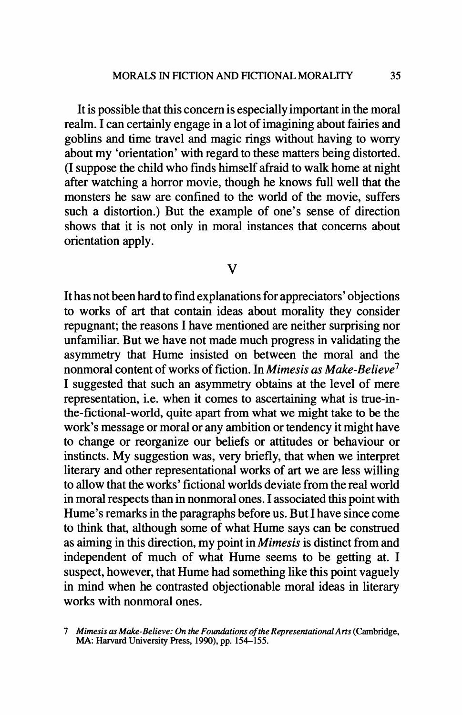**It is possible that this concern is especially important in the moral realm. I can certainly engage in a lot of imagining about fairies and goblins and time travel and magic rings without having to worry about my 'orientation' with regard to these matters being distorted. (I suppose the child who finds himself afraid to walk home at night after watching a horror movie, though he knows full well that the monsters he saw are confined to the world of the movie, suffers such a distortion.) But the example of one's sense of direction shows that it is not only in moral instances that concerns about orientation apply.** 

**V** 

**It has not been hard to find explanations for appreciators' objections to works of art that contain ideas about morality they consider repugnant; the reasons I have mentioned are neither surprising nor unfamiliar. But we have not made much progress in validating the asymmetry that Hume insisted on between the moral and the nonmoral content of works of fiction. In Mimesis as Make-Believe7 I suggested that such an asymmetry obtains at the level of mere representation, i.e. when it comes to ascertaining what is true-inthe-fictional-world, quite apart from what we might take to be the work's message or moral or any ambition or tendency it might have to change or reorganize our beliefs or attitudes or behaviour or instincts. My suggestion was, very briefly, that when we interpret literary and other representational works of art we are less willing to allow that the works' fictional worlds deviate from the real world in moral respects than in nonmoral ones. I associated this point with Hume's remarks in the paragraphs before us. But I have since come to think that, although some of what Hume says can be construed as aiming in this direction, my point in Mimesis is distinct from and independent of much of what Hume seems to be getting at. I suspect, however, that Hume had something like this point vaguely in mind when he contrasted objectionable moral ideas in literary works with nonmoral ones.** 

**<sup>7</sup> Mimesis as Make-Believe: On the Foundations of the RepresentationalArts (Cambridge, MA: Harvard University Press, 1990), pp. 154-155.**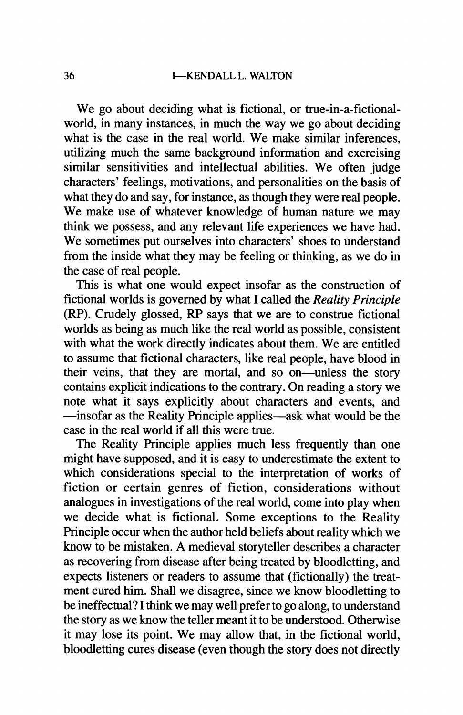**We go about deciding what is fictional, or true-in-a-fictionalworld, in many instances, in much the way we go about deciding what is the case in the real world. We make similar inferences, utilizing much the same background information and exercising similar sensitivities and intellectual abilities. We often judge characters' feelings, motivations, and personalities on the basis of what they do and say, for instance, as though they were real people. We make use of whatever knowledge of human nature we may think we possess, and any relevant life experiences we have had. We sometimes put ourselves into characters' shoes to understand from the inside what they may be feeling or thinking, as we do in the case of real people.** 

**This is what one would expect insofar as the construction of fictional worlds is governed by what I called the Reality Principle (RP). Crudely glossed, RP says that we are to construe fictional worlds as being as much like the real world as possible, consistent with what the work directly indicates about them. We are entitled to assume that fictional characters, like real people, have blood in their veins, that they are mortal, and so on-unless the story contains explicit indications to the contrary. On reading a story we note what it says explicitly about characters and events, and -insofar as the Reality Principle applies-ask what would be the case in the real world if all this were true.** 

**The Reality Principle applies much less frequently than one might have supposed, and it is easy to underestimate the extent to which considerations special to the interpretation of works of fiction or certain genres of fiction, considerations without analogues in investigations of the real world, come into play when we decide what is fictional. Some exceptions to the Reality Principle occur when the author held beliefs about reality which we know to be mistaken. A medieval storyteller describes a character as recovering from disease after being treated by bloodletting, and expects listeners or readers to assume that (fictionally) the treatment cured him. Shall we disagree, since we know bloodletting to be ineffectual? I think we may well prefer to go along, to understand the story as we know the teller meant it to be understood. Otherwise it may lose its point. We may allow that, in the fictional world, bloodletting cures disease (even though the story does not directly**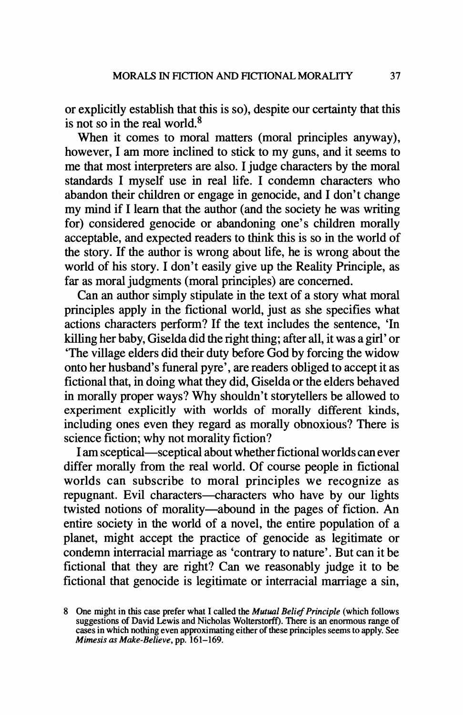**or explicitly establish that this is so), despite our certainty that this is not so in the real world.8** 

**When it comes to moral matters (moral principles anyway), however, I am more inclined to stick to my guns, and it seems to me that most interpreters are also. I judge characters by the moral standards I myself use in real life. I condemn characters who abandon their children or engage in genocide, and I don't change my mind if I learn that the author (and the society he was writing for) considered genocide or abandoning one's children morally acceptable, and expected readers to think this is so in the world of the story. If the author is wrong about life, he is wrong about the world of his story. I don't easily give up the Reality Principle, as far as moral judgments (moral principles) are concerned.** 

**Can an author simply stipulate in the text of a story what moral principles apply in the fictional world, just as she specifies what actions characters perform? If the text includes the sentence, 'In killing her baby, Giselda did the right thing; after all, it was a girl' or 'The village elders did their duty before God by forcing the widow onto her husband's funeral pyre', are readers obliged to accept it as fictional that, in doing what they did, Giselda or the elders behaved in morally proper ways? Why shouldn't storytellers be allowed to experiment explicitly with worlds of morally different kinds, including ones even they regard as morally obnoxious? There is science fiction; why not morality fiction?** 

**I am sceptical-sceptical about whether fictional worlds can ever differ morally from the real world. Of course people in fictional worlds can subscribe to moral principles we recognize as repugnant. Evil characters-characters who have by our lights twisted notions of morality-abound in the pages of fiction. An entire society in the world of a novel, the entire population of a planet, might accept the practice of genocide as legitimate or condemn interracial marriage as 'contrary to nature'. But can it be fictional that they are right? Can we reasonably judge it to be fictional that genocide is legitimate or interracial marriage a sin,** 

**<sup>8</sup> One might in this case prefer what I called the Mutual Belief Principle (which follows suggestions of David Lewis and Nicholas Wolterstorff). There is an enormous range of cases in which nothing even approximating either of these principles seems to apply. See Mimesis as Make-Believe, pp. 161-169.**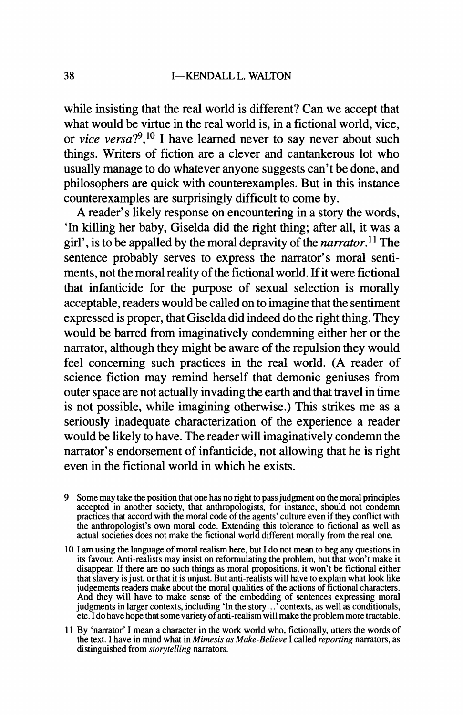**while insisting that the real world is different? Can we accept that what would be virtue in the real world is, in a fictional world, vice, or vice versa?9,10 I have learned never to say never about such things. Writers of fiction are a clever and cantankerous lot who usually manage to do whatever anyone suggests can't be done, and philosophers are quick with counterexamples. But in this instance counterexamples are surprisingly difficult to come by.** 

**A reader's likely response on encountering in a story the words, 'In killing her baby, Giselda did the right thing; after all, it was a girl', is to be appalled by the moral depravity of the narrator.11 The sentence probably serves to express the narrator's moral sentiments, not the moral reality of the fictional world. If it were fictional that infanticide for the purpose of sexual selection is morally acceptable, readers would be called on to imagine that the sentiment expressed is proper, that Giselda did indeed do the right thing. They would be barred from imaginatively condemning either her or the narrator, although they might be aware of the repulsion they would feel concerning such practices in the real world. (A reader of science fiction may remind herself that demonic geniuses from outer space are not actually invading the earth and that travel in time is not possible, while imagining otherwise.) This strikes me as a seriously inadequate characterization of the experience a reader would be likely to have. The reader will imaginatively condemn the narrator's endorsement of infanticide, not allowing that he is right even in the fictional world in which he exists.** 

- **9 Some may take the position that one has no right to pass judgment on the moral principles accepted in another society, that anthropologists, for instance, should not condemn practices that accord with the moral code of the agents' culture even if they conflict with the anthropologist's own moral code. Extending this tolerance to fictional as well as actual societies does not make the fictional world different morally from the real one.**
- **10 I am using the language of moral realism here, but I do not mean to beg any questions in its favour. Anti-realists may insist on reformulating the problem, but that won't make it disappear. If there are no such things as moral propositions, it won't be fictional either that slavery is just, or that it is unjust. But anti-realists will have to explain what look like judgements readers make about the moral qualities of the actions of fictional characters. And they will have to make sense of the embedding of sentences expressing moral judgments in larger contexts, including 'In the story...' contexts, as well as conditionals, etc. I do have hope that some variety of anti-realism will make the problem more tractable.**
- **11 By 'narrator' Imean a character in the work world who, fictionally, utters the words of the text. I have in mind what in Mimesis as Make-Believe I called reporting narrators, as distinguished from storytelling narrators.**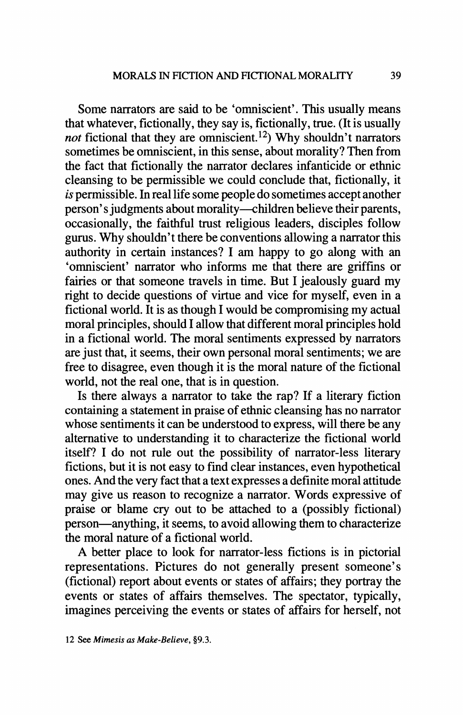**Some narrators are said to be 'omniscient'. This usually means that whatever, fictionally, they say is, fictionally, true. (It is usually**  not fictional that they are omniscient.<sup>12</sup>) Why shouldn't narrators sometimes be omniscient, in this sense, about morality? Then from **the fact that fictionally the narrator declares infanticide or ethnic cleansing to be permissible we could conclude that, fictionally, it as permissible. In real life some people do sometimes accept another**  person's judgments about morality—children believe their parents, **occasionally, ffie faithful trust religious leaders, disciples follow gurus. Why shouldn't there be conventions allowing a narrator this authority in certain instances? I am happy to go along with an 'omniscient' narrator who informs me that there are griffins or fairies or that someone travels in time. But I jealously guard my right to decide questions of virtue and vice for myself, even in a fictional world. It is as though I would be compromising my actual moral principles, should I allow that different moral principles hold**  in a fictional world. The moral sentiments expressed by narrators **are just that, it seems, their own personal moral sentiments; we are**  free to disagree, even though it is the moral nature of the fictional **world, not the real one, that is in question.** 

Is there always a narrator to take the rap? If a literary fiction **containing astatement in praise of ethnic cleansing has no narrator**  whose sentiments it can be understood to express, will there be any **alternative to understanding it to characterize the fictional world itself? I do not rule out the possibility of narrator-less literary fictions, but it is not easy to find clear instances, even hypothetical ones. And the very fact that a text expresses a definite moral attitude may give us reason to recognize a narrator. Words expressive of praise or blame cry out to be attached to a (possibly fictional) person—anything, it seems, to avoid allowing them to characterize e moral nature of a fictional world.** 

**A better place to look for narrator-less fictions is in pictorial representations. Pictures do not generally present someone's (fictional) report about events or states of affairs; they portray the**  events or states of affairs themselves. The spectator, typically, imagines perceiving the events or states of affairs for herself, not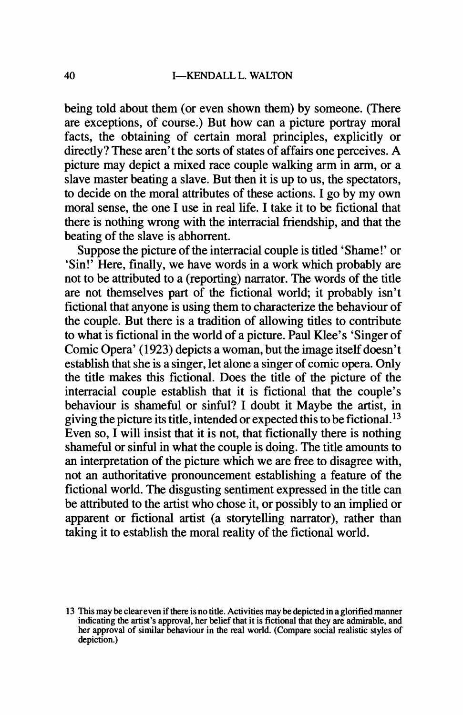**being told about them (or even shown them) by someone. (There are exceptions, of course.) But how can a picture portray moral facts, the obtaining of certain moral principles, explicitly or directly? These aren't the sorts of states of affairs one perceives. A picture may depict a mixed race couple walking arm in arm, or a slave master beating a slave. But then it is up to us, the spectators, to decide on the moral attributes of these actions. I go by my own moral sense, the one I use in real life. I take it to be fictional that there is nothing wrong with the interracial friendship, and that the beating of the slave is abhorrent.** 

**Suppose the picture of the interracial couple is titled 'Shame!' or 'Sin!' Here, finally, we have words in a work which probably are not to be attributed to a (reporting) narrator. The words of the title are not themselves part of the fictional world; it probably isn't fictional that anyone is using them to characterize the behaviour of the couple. But there is a tradition of allowing titles to contribute to what is fictional in the world of a picture. Paul Klee's 'Singer of Comic Opera' (1923) depicts a woman, but the image itself doesn't establish that she is a singer, let alone a singer of comic opera. Only the title makes this fictional. Does the title of the picture of the interracial couple establish that it is fictional that the couple's behaviour is shameful or sinful? I doubt it Maybe the artist, in giving the picture its title, intended or expected this to be fictional.13 Even so, I will insist that it is not, that fictionally there is nothing shameful or sinful in what the couple is doing. The title amounts to an interpretation of the picture which we are free to disagree with, not an authoritative pronouncement establishing a feature of the fictional world. The disgusting sentiment expressed in the title can be attributed to the artist who chose it, or possibly to an implied or apparent or fictional artist (a storytelling narrator), rather than taking it to establish the moral reality of the fictional world.** 

**<sup>13</sup> This may be clear even if there is no title. Activities may be depicted in a glorified manner indicating the artist's approval, her belief that it is fictional that they are admirable, and her approval of similar behaviour in the real world. (Compare social realistic styles of depiction.)**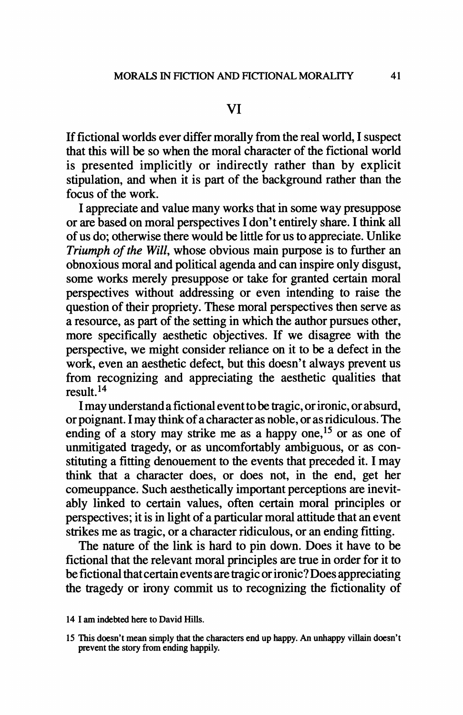**If fictional worlds ever differ morally from the real world, I suspect that this will be so when the moral character of the fictional world is presented implicitly or indirectly rather than by explicit stipulation, and when it is part of the background rather than the focus of the work.** 

**I appreciate and value many works that in some way presuppose or are based on moral perspectives I don't entirely share. I think all of us do; otherwise there would be little for us to appreciate. Unlike Triumph of the Will, whose obvious main purpose is to further an obnoxious moral and political agenda and can inspire only disgust, some works merely presuppose or take for granted certain moral perspectives without addressing or even intending to raise the question of their propriety. These moral perspectives then serve as a resource, as part of the setting in which the author pursues other, more specifically aesthetic objectives. If we disagree with the perspective, we might consider reliance on it to be a defect in the work, even an aesthetic defect, but this doesn't always prevent us from recognizing and appreciating the aesthetic qualities that result.14** 

**I may understand a fictional event to be tragic, or ironic, or absurd, or poignant. I may think of a character as noble, or as ridiculous. The**  ending of a story may strike me as a happy one,<sup>15</sup> or as one of **unmitigated tragedy, or as uncomfortably ambiguous, or as constituting a fitting denouement to the events that preceded it. I may think that a character does, or does not, in the end, get her comeuppance. Such aesthetically important perceptions are inevitably linked to certain values, often certain moral principles or perspectives; it is in light of a particular moral attitude that an event strikes me as tragic, or a character ridiculous, or an ending fitting.** 

**The nature of the link is hard to pin down. Does it have to be fictional that the relevant moral principles are true in order for it to be fictional that certain events are tragic or ironic? Does appreciating the tragedy or irony commit us to recognizing the fictionality of** 

**<sup>14</sup> I am indebted here to David Hills.** 

**<sup>15</sup> This doesn't mean simply that the characters end up happy. An unhappy villain doesn't prevent the story from ending happily.**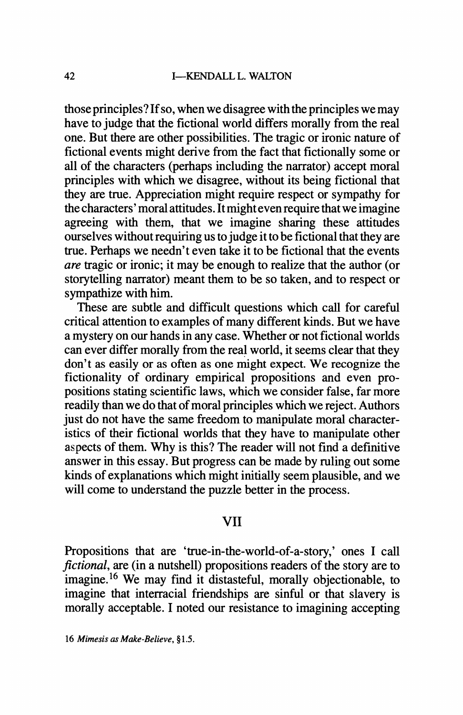**iose principles? If so, when we disagree with the principles we may have to judge that the fictional world differs morally from the real**  one. But there are other possibilities. The tragic or ironic nature of **fictional events might derive from the fact that fictionally some or all of the characters (perhaps including the narrator) accept moral principles with which we disagree, witout its being fictional that they are true. Appreciation might require respect or sympathy for the characters' moral attitudes. It might even require that we imagine agreeing with them, that we imagine sharing these attitudes ourselves without requiring us to judge it to be fictional that they are true. Perhaps we needn't even take it to be fictional ffiat the events are tragic or ironic; it may be enough to realize that the author (or storytelling narrator) meant them to be so taken, and to respect or**  sympathize with him.

**These are subtle and difficult questions which call for careful critical attention to examples of many different kinds. But we have a mystery on our hands in any case. Whether or not fictional worlds can ever differ morally from the real world, it seems clear that they don't as easily or as often as one might expect. We recognize the fictionality of ordinary empirical propositions and even propositions stating scientific laws, which we consider false, far more readily than we do that of moral principles which we reject. Authors just do not have the same freedom to manipulate moral characteristics of their fictional worlds that they have to manipulate other**  aspects of them. Why is this? The reader will not find a definitive **answer in this essay. But progress can be made by ruling out some kinds of explanations which might initially seem plausible, and we will come to understand the puzzle better in the process.** 

## **VII**

Propositions that are 'true-in-the-world-of-a-story,' ones I call **fictional, are (in a nutshell) propositions readers of the story are to imagine.l6 We may find it distasteful, morally objectionable, to imagine that interracial friendships are sinful or that slavery is morally acceptable. I noted our resistance to imagining accepting** 

**16 Mimesis as Make-Believe, §1.5.**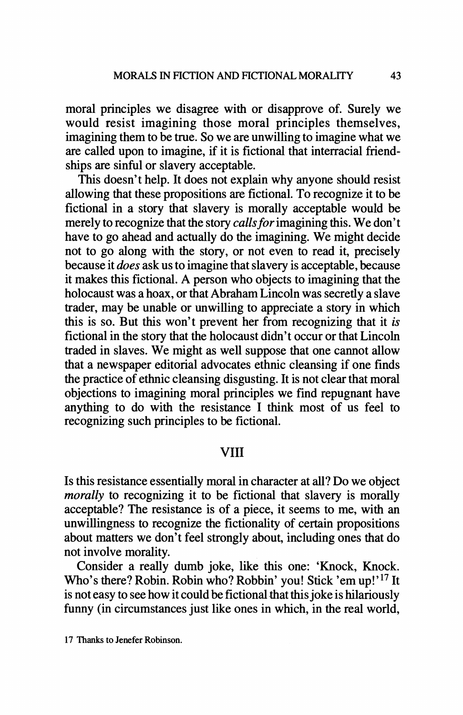**moral principles we disagree with or disapprove of. Surely we would resist imagining those moral principles themselves, imagining them to be true. So we are unwilling to imagine what we are called upon to imagine, if it is fictional that interracial friendships are sinful or slavery acceptable.** 

**This doesn't help. It does not explain why anyone should resist allowing that these propositions are fictional. To recognize it to be fictional in a story that slavery is morally acceptable would be merely to recognize that the story calls for imagining this. We don't have to go ahead and actually do the imagining. We might decide not to go along with the story, or not even to read it, precisely because it does ask us to imagine that slavery is acceptable, because it makes this fictional. A person who objects to imagining that the holocaust was a hoax, or that Abraham Lincoln was secretly a slave trader, may be unable or unwilling to appreciate a story in which this is so. But this won't prevent her from recognizing that it is fictional in the story that the holocaust didn't occur or that Lincoln traded in slaves. We might as well suppose that one cannot allow that a newspaper editorial advocates ethnic cleansing if one finds the practice of ethnic cleansing disgusting. It is not clear that moral objections to imagining moral principles we find repugnant have anything to do with the resistance I think most of us feel to recognizing such principles to be fictional.** 

## **VIII**

**Is this resistance essentially moral in character at all? Do we object morally to recognizing it to be fictional that slavery is morally acceptable? The resistance is of a piece, it seems to me, with an unwillingness to recognize the fictionality of certain propositions about matters we don't feel strongly about, including ones that do not involve morality.** 

**Consider a really dumb joke, like this one: 'Knock, Knock. Who's there? Robin. Robin who? Robbin' you! Stick 'em up!"'7 It is not easy to see how it could be fictional that this joke is hilariously funny (in circumstances just like ones in which, in the real world,** 

**<sup>17</sup> Thanks to Jenefer Robinson.**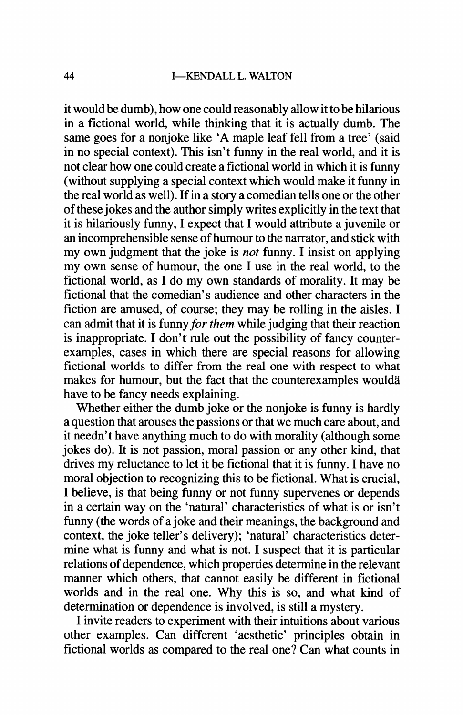**it would be dumb), how one could reasonably allow it to be hilarious in a fictional world, while thinking that it is actually dumb. The same goes for a nonjoke like 'A maple leaf fell from a tree' (said in no special context). This isn't funny in the real world, and it is not clear how one could create a fictional world in which it is funny (without supplying a special context which would make it funny in the real world as well). If in a story a comedian tells one or the other of thesejokes and the author simply writes explicitly in the text that it is hilariously funny, I expect that I would attribute a juvenile or an incomprehensible sense of humour to the narrator, and stick with my own judgment that the joke is not funny. I insist on applying my own sense of humour, the one I use in the real world, to the fictional world, as I do my own standards of morality. It may be fictional that the comedian's audience and other characters in the fiction are amused, of course; they may be rolling in the aisles. I can admit that it is funnyfor them while judging that their reaction is inappropriate. I don't rule out the possibility of fancy counterexamples, cases in which there are special reasons for allowing fictional worlds to differ from the real one with respect to what makes for humour, but the fact that the counterexamples wouldai have to be fancy needs explaining.** 

**Whether either the dumb joke or the nonjoke is funny is hardly a question that arouses the passions or that we much care about, and it needn't have anything much to do with morality (although some jokes do). It is not passion, moral passion or any other kind, that drives my reluctance to let it be fictional that it is funny. I have no moral objection to recognizing this to be fictional. What is crucial, I believe, is that being funny or not funny supervenes or depends in a certain way on the 'natural' characteristics of what is or isn't funny (the words of a joke and their meanings, the background and context, the joke teller's delivery); 'natural' characteristics determine what is funny and what is not. I suspect that it is particular relations of dependence, which properties determine in the relevant manner which others, that cannot easily be different in fictional worlds and in the real one. Why this is so, and what kind of determination or dependence is involved, is still a mystery.** 

**I invite readers to experiment with their intuitions about various other examples. Can different 'aesthetic' principles obtain in fictional worlds as compared to the real one? Can what counts in**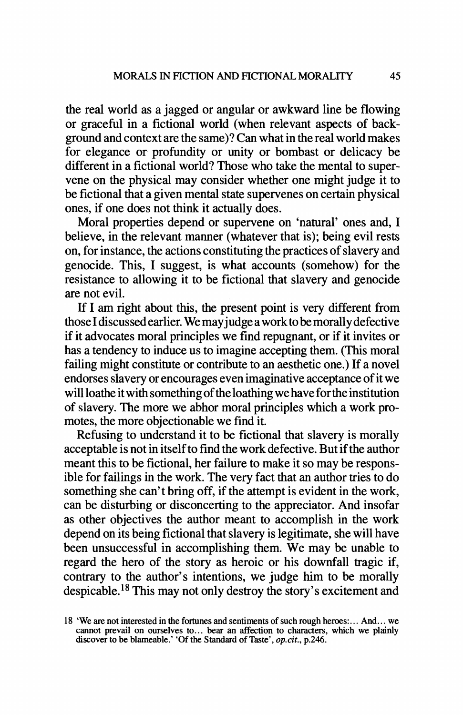**the real world as a jagged or angular or awkward line be flowing or graceful in a fictional world (when relevant aspects of background and context are the same)? Can what in the real world makes for elegance or profundity or unity or bombast or delicacy be different in a fictional world? Those who take the mental to supervene on the physical may consider whether one might judge it to be fictional that a given mental state supervenes on certain physical ones, if one does not think it actually does.** 

**Moral properties depend or supervene on 'natural' ones and, I believe, in the relevant manner (whatever that is); being evil rests on, for instance, the actions constituting the practices of slavery and genocide. This, I suggest, is what accounts (somehow) for the resistance to allowing it to be fictional that slavery and genocide are not evil.** 

**If I am right about this, the present point is very different from those I discussed earlier. We mayj udge a work to be morally defective if it advocates moral principles we find repugnant, or if it invites or has a tendency to induce us to imagine accepting them. (This moral failing might constitute or contribute to an aesthetic one.) If a novel endorses slavery or encourages even imaginative acceptance of it we will loathe it with something of the loathing we have for the institution of slavery. The more we abhor moral principles which a work promotes, the more objectionable we find it.** 

**Refusing to understand it to be fictional that slavery is morally acceptable is not in itself to find the work defective. But if the author meant this to be fictional, her failure to make it so may be responsible for failings in the work. The very fact that an author tries to do something she can't bring off, if the attempt is evident in the work, can be disturbing or disconcerting to the appreciator. And insofar as other objectives the author meant to accomplish in the work depend on its being fictional that slavery is legitimate, she will have been unsuccessful in accomplishing them. We may be unable to regard the hero of the story as heroic or his downfall tragic if, contrary to the author's intentions, we judge him to be morally despicable.'18 This may not only destroy the story's excitement and** 

**<sup>18 &#</sup>x27;We are not interested in the fortunes and sentiments of such rough heroes:... And... we cannot prevail on ourselves to... bear an affection to characters, which we plainly discover to be blameable.' 'Of the Standard of Taste', op.cit., p.246.**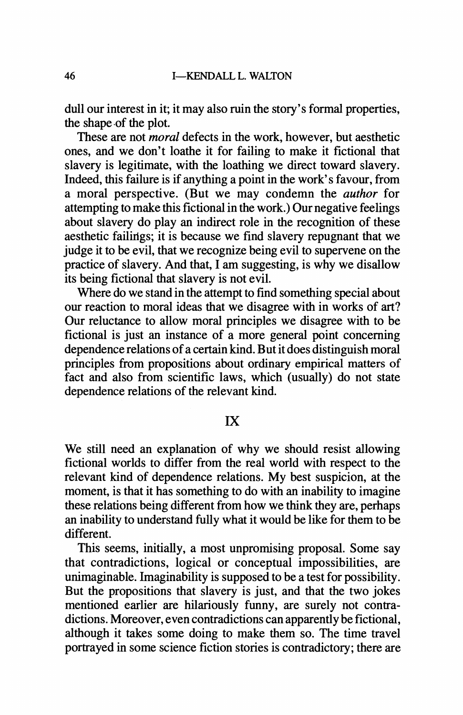**dull our interest in it; it may also ruin the story's formal properties, the shape of the plot.** 

**These are not moral defects in the work, however, but aesthetic ones, and we don't loathe it for failing to make it fictional that slavery is legitimate, with the loathing we direct toward slavery. Indeed, this failure is if anything a point in the work's favour, from a moral perspective. (But we may condemn the author for attempting to make this fictional in the work.) Our negative feelings about slavery do play an indirect role in the recognition of these aesthetic failings; it is because we find slavery repugnant that we judge it to be evil, that we recognize being evil to supervene on the practice of slavery. And that, I am suggesting, is why we disallow its being fictional that slavery is not evil.** 

**Where do we stand in the attempt to find something special about our reaction to moral ideas that we disagree with in works of art? Our reluctance to allow moral principles we disagree with to be fictional is just an instance of a more general point concerning dependence relations of a certain kind. But it does distinguish moral principles from propositions about ordinary empirical matters of fact and also from scientific laws, which (usually) do not state dependence relations of the relevant kind.** 

#### **IX**

**We still need an explanation of why we should resist allowing fictional worlds to differ from the real world with respect to the relevant kind of dependence relations. My best suspicion, at the moment, is that it has something to do with an inability to imagine these relations being different from how we think they are, perhaps an inability to understand fully what it would be like for them to be different.** 

**This seems, initially, a most unpromising proposal. Some say that contradictions, logical or conceptual impossibilities, are unimaginable. Imaginability is supposed to be a test for possibility. But the propositions that slavery is just, and that the two jokes mentioned earlier are hilariously funny, are surely not contradictions. Moreover, even contradictions can apparently be fictional, although it takes some doing to make them so. The time travel portrayed in some science fiction stories is contradictory; there are**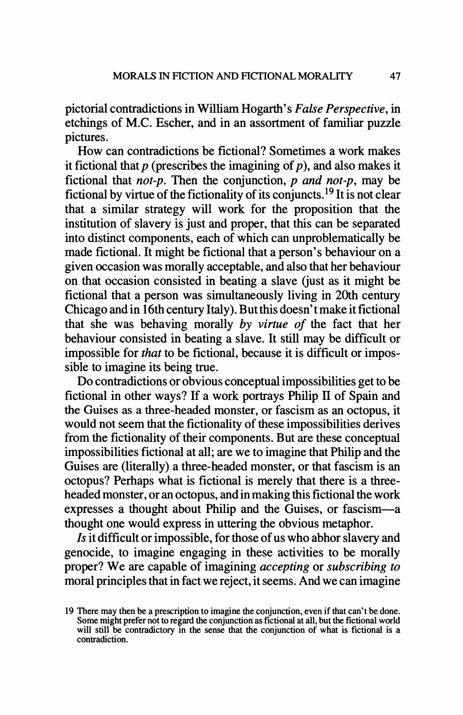**pictorial contradictions in William Hogarth's False Perspective, in etchings of M.C. Escher, and in an assortment of familiar puzzle pictures.** 

**How can contradictions be fictional? Sometimes a work makes**  it fictional that  $p$  (prescribes the imagining of  $p$ ), and also makes it **fictional that not-p. Then the conjunction, p and not-p, may be fictional by virtue of the fictionality of its conjuncts.19 It is not clear that a similar strategy will work for the proposition that the institution of slavery is just and proper, that this can be separated into distinct components, each of which can unproblematically be made fictional. It might be fictional that a person's behaviour on a given occasion was morally acceptable, and also that her behaviour on that occasion consisted in beating a slave (just as it might be fictional that a person was simultaneously living in 20th century Chicago and in 16th century Italy). But this doesn't make it fictional that she was behaving morally by virtue of the fact that her behaviour consisted in beating a slave. It still may be difficult or impossible for that to be fictional, because it is difficult or impossible to imagine its being true.** 

**Do contradictions or obvious conceptual impossibilities get to be fictional in other ways? If a work portrays Philip II of Spain and the Guises as a three-headed monster, or fascism as an octopus, it would not seem that the fictionality of these impossibilities derives from the fictionality of their components. But are these conceptual impossibilities fictional at all; are we to imagine that Philip and the Guises are (literally) a three-headed monster, or that fascism is an octopus? Perhaps what is fictional is merely that there is a threeheaded monster, or an octopus, and in making this fictional the work expresses a thought about Philip and the Guises, or fascism-a thought one would express in uttering the obvious metaphor.** 

**Is it difficult or impossible, for those of us who abhor slavery and genocide, to imagine engaging in these activities to be morally proper? We are capable of imagining accepting or subscribing to moral principles that in fact we reject, it seems. And we can imagine** 

**<sup>19</sup> There may then be a prescription to imagine the conjunction, even if that can't be done. Some might prefer not to regard the conjunction as fictional at all, but the fictional world**  will still be contradictory in the sense that the conjunction of what is fictional is a **contradiction.**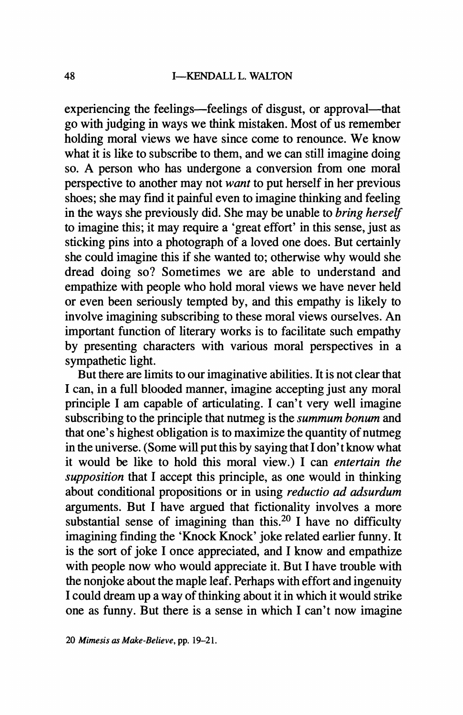experiencing the feelings—feelings of disgust, or approval—that **go with judging in ways we think mistaken. Most of us remember holding moral views we have since come to renounce. We know what it is like to subscribe to them, and we can still imagine doing so. A person who has undergone a conversion from one moral perspective to another may not want to put herself in her previous shoes; she may find it painful even to imagine thinking and feeling in the ways she previously did. She may be unable to bring herself to imagine this; it may require a 'great effort' in this sense, just as sticking pins into a photograph of a loved one does. But certainly she could imagine this if she wanted to; otherwise why would she dread doing so? Sometimes we are able to understand and empathize with people who hold moral views we have never held or even been seriously tempted by, and this empathy is likely to involve imagining subscribing to these moral views ourselves. An important function of literary works is to facilitate such empathy by presenting characters with various moral perspectives in a sympathetic light.** 

**But there are limits to our imaginative abilities. It is not clear that I can, in a full blooded manner, imagine accepting just any moral principle I am capable of articulating. I can't very well imagine subscribing to the principle that nutmeg is the summum bonum and that one's highest obligation is to maximize the quantity of nutmeg in the universe. (Some will put this by saying that I don't know what it would be like to hold this moral view.) I can entertain the supposition that I accept this principle, as one would in thinking about conditional propositions or in using reductio ad adsurdum arguments. But I have argued that fictionality involves a more substantial sense of imagining than this.20 I have no difficulty imagining finding the 'Knock Knock' joke related earlier funny. It is the sort of joke I once appreciated, and I know and empathize with people now who would appreciate it. But I have trouble with the nonjoke about the maple leaf. Perhaps with effort and ingenuity I could dream up a way of thinking about it in which it would strike one as funny. But there is a sense in which I can't now imagine**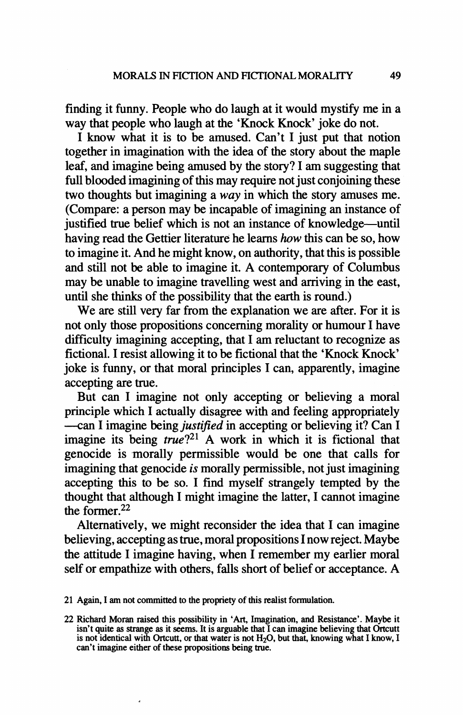**finding it funny. People who do laugh at it would mystify me in a way that people who laugh at the 'Knock Knock' joke do not.** 

**I know what it is to be amused. Can't I just put that notion together in imagination with the idea of the story about the maple leaf, and imagine being amused by the story? I am suggesting that full blooded imagining of this may require not just conjoining these two thoughts but imagining a way in which the story amuses me. (Compare: a person may be incapable of imagining an instance of justified true belief which is not an instance of knowledge-until having read the Gettier literature he learns how this can be so, how to imagine it. And he might know, on authority, that this is possible and still not be able to imagine it. A contemporary of Columbus may be unable to imagine travelling west and arriving in the east, until she thinks of the possibility that the earth is round.)** 

**We are still very far from the explanation we are after. For it is not only those propositions concerning morality or humour I have difficulty imagining accepting, that I am reluctant to recognize as fictional. I resist allowing it to be fictional that the 'Knock Knock' joke is funny, or that moral principles I can, apparently, imagine accepting are true.** 

**But can I imagine not only accepting or believing a moral principle which I actually disagree with and feeling appropriately -can I imagine being justified in accepting or believing it? Can I imagine its being true?21 A work in which it is fictional that genocide is morally permissible would be one that calls for imagining that genocide is morally permissible, not just imagining accepting this to be so. I find myself strangely tempted by the thought that although I might imagine the latter, I cannot imagine the former.22** 

**Alternatively, we might reconsider the idea that I can imagine believing, accepting as true, moral propositions I now reject. Maybe the attitude I imagine having, when I remember my earlier moral self or empathize with others, falls short of belief or acceptance. A** 

**21 Again, I am not committed to the propriety of this realist formulation.** 

**<sup>22</sup> Richard Moran raised this possibility in 'Art, Imagination, and Resistance'. Maybe it**  isn't quite as strange as it seems. It is arguable that I can imagine believing that Ortcutt is not identical with Ortcutt, or that water is not H<sub>2</sub>O, but that, knowing what I know, I **can't imagine either of these propositions being true.**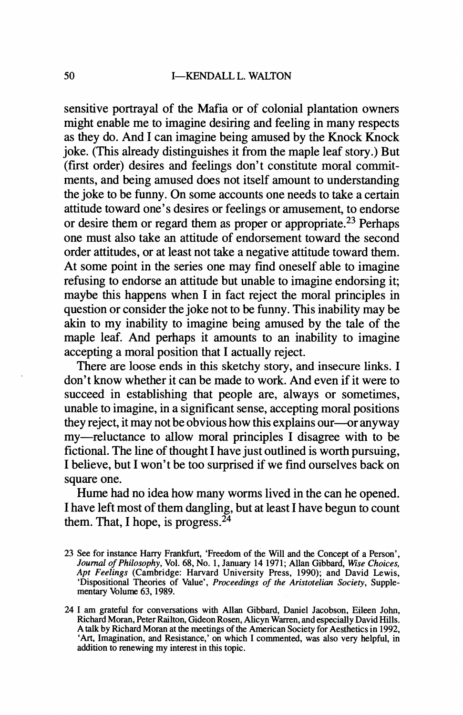**sensitive portrayal of the Mafia or of colonial plantation owners might enable me to imagine desiring and feeling in many respects as they do. And I can imagine being amused by the Knock Knock joke. (This already distinguishes it from the maple leaf story.) But (first order) desires and feelings don't constitute moral commitments, and being amused does not itself amount to understanding the joke to be funny. On some accounts one needs to take a certain attitude toward one's desires or feelings or amusement, to endorse or desire them or regard them as proper or appropriate.23 Perhaps one must also take an attitude of endorsement toward the second order attitudes, or at least not take a negative attitude toward them. At some point in the series one may find oneself able to imagine refusing to endorse an attitude but unable to imagine endorsing it; maybe this happens when I in fact reject the moral principles in question or consider the joke not to be funny. This inability may be akin to my inability to imagine being amused by the tale of the maple leaf. And perhaps it amounts to an inability to imagine accepting a moral position that I actually reject.** 

**There are loose ends in this sketchy story, and insecure links. I don't know whether it can be made to work. And even if it were to succeed in establishing that people are, always or sometimes, unable to imagine, in a significant sense, accepting moral positions they reject, it may not be obvious how this explains our--or anyway my-reluctance to allow moral principles I disagree with to be fictional. The line of thought I have just outlined is worth pursuing, I believe, but I won't be too surprised if we find ourselves back on square one.** 

**Hume had no idea how many worms lived in the can he opened. I have left most of them dangling, but at least I have begun to count them. That, I hope, is progress.24** 

**<sup>23</sup> See for instance Harry Frankfurt, 'Freedom of the Will and the Concept of a Person', Journal of Philosophy, Vol. 68, No. 1, January 14 1971; Allan Gibbard, Wise Choices, Apt Feelings (Cambridge: Harvard University Press, 1990); and David Lewis, 'Dispositional Theories of Value', Proceedings of the Aristotelian Society, Supple-mentary Volume 63, 1989.** 

**<sup>24</sup> I am grateful for conversations with Allan Gibbard, Daniel Jacobson, Eileen John, Richard Moran, Peter Railton, Gideon Rosen, Alicyn Warren, and especially David Hills. A talk by Richard Moran at the meetings of the American Society for Aesthetics in 1992, 'Art, Imagination, and Resistance,' on which I commented, was also very helpful, in addition to renewing my interest in this topic.**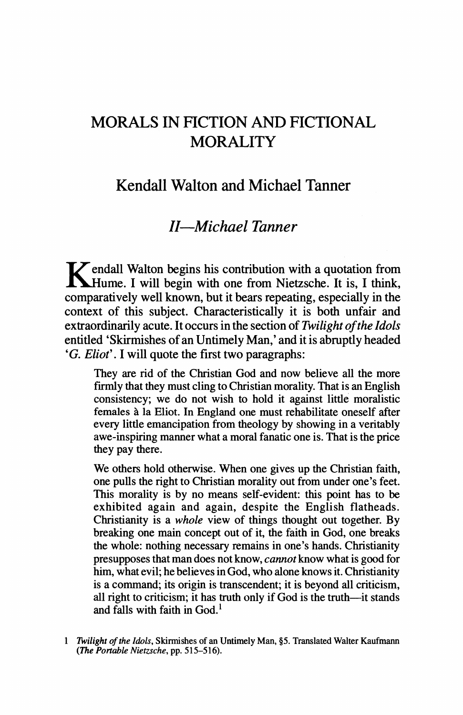# **MORALS IN FICTION AND FICTIONAL MORALITY**

## **Kendall Walton and Michael Tanner**

## **II- Michael Tanner**

**vendall Walton begins his contribution with a quotation from IN** Hume. I will begin with one from Nietzsche. It is, I think, **comparatively well known, but it bears repeating, especially in the context of this subject. Characteristically it is both unfair and**  extraordinarily acute. It occurs in the section of *Twilight of the Idols* **entitled 'Skirmishes of an Untimely Man,' and it is abruptly headed 'G. Eliot'. I will quote the first two paragraphs:** 

**They are rid of the Christian God and now believe all the more firmly that they must cling to Christian morality. That is an English consistency; we do not wish to hold it against little moralistic females a la Eliot. In England one must rehabilitate oneself after every little emancipation from theology by showing in a veritably awe-inspiring manner what a moral fanatic one is. That is the price they pay there.** 

**We others hold otherwise. When one gives up the Christian faith, one pulls the right to Christian morality out from under one's feet. This morality is by no means self-evident: this point has to be exhibited again and again, despite the English flatheads. Christianity is a whole view of things thought out together. By breaking one main concept out of it, the faith in God, one breaks the whole: nothing necessary remains in one's hands. Christianity presupposes that man does not know, cannot know what is good for him, what evil; he believes in God, who alone knows it. Christianity is a command; its origin is transcendent; it is beyond all criticism,**  all right to criticism; it has truth only if God is the truth—it stands **and falls with faith in God.l** 

**<sup>1</sup> Twilight of the Idols, Skirmishes of an Untimely Man, §5. Translated Walter Kaufmann (The Portable Nietzsche, pp. 515-516).**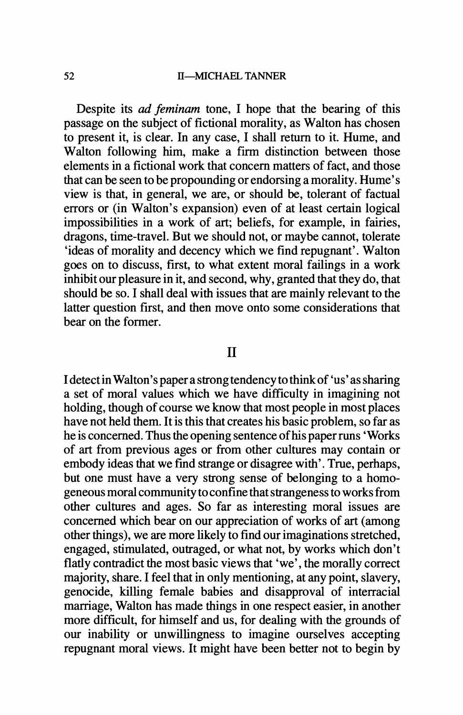#### **52 II-MICHAEL TANNER**

**Despite its ad feminam tone, I hope that the bearing of this passage on the subject of fictional morality, as Walton has chosen to present it, is clear. In any case, I shall return to it. Hume, and Walton following him, make a firm distinction between those elements in a fictional work that concern matters of fact, and those that can be seen to be propounding or endorsing a morality. Hume's view is that, in general, we are, or should be, tolerant of factual errors or (in Walton's expansion) even of at least certain logical impossibilities in a work of art; beliefs, for example, in fairies, dragons, time-travel. But we should not, or maybe cannot, tolerate 'ideas of morality and decency which we find repugnant'. Walton goes on to discuss, first, to what extent moral failings in a work inhibit our pleasure in it, and second, why, granted that they do, that should be so. I shall deal with issues that are mainly relevant to the latter question first, and then move onto some considerations that bear on the former.** 

#### **II**

**I detect in Walton's paper a strong tendency to think of 'us' as sharing a set of moral values which we have difficulty in imagining not holding, though of course we know that most people in most places have not held them. It is this that creates his basic problem, so far as he is concerned. Thus the opening sentence of his paper runs 'Works of art from previous ages or from other cultures may contain or embody ideas that we find strange or disagree with'. True, perhaps, but one must have a very strong sense of belonging to a homogeneous moral community to confine that strangeness to works from other cultures and ages. So far as interesting moral issues are concerned which bear on our appreciation of works of art (among other things), we are more likely to find our imaginations stretched, engaged, stimulated, outraged, or what not, by works which don't flatly contradict the most basic views that 'we', the morally correct majority, share. I feel that in only mentioning, at any point, slavery, genocide, killing female babies and disapproval of interracial marriage, Walton has made things in one respect easier, in another more difficult, for himself and us, for dealing with the grounds of our inability or unwillingness to imagine ourselves accepting repugnant moral views. It might have been better not to begin by**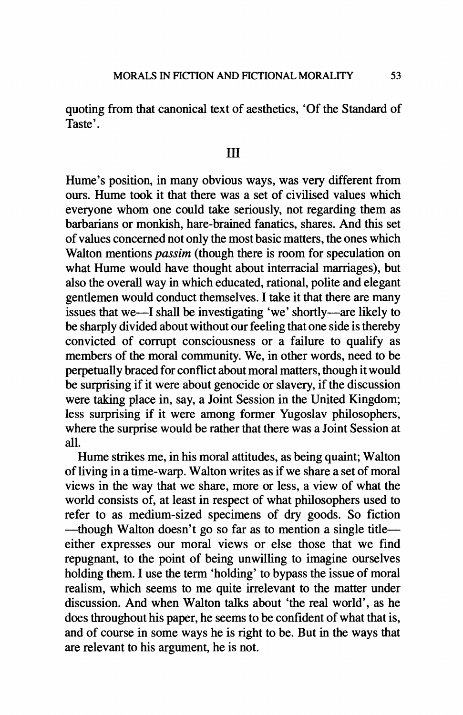**quoting from that canonical text of aesthetics, 'Of the Standard of Taste'.** 

## **II**

**Hume's position, in many obvious ways, was very different from ours. Hume took it that there was a set of civilised values which everyone whom one could take seriously, not regarding them as barbarians or monkish, hare-brained fanatics, shares. And this set of values concerned not only the most basic matters, the ones which Walton mentions passim (though there is room for speculation on what Hume would have thought about interracial marriages), but also the overall way in which educated, rational, polite and elegant gentlemen would conduct themselves. I take it that there are many issues that we-I shall be investigating 'we' shortly-are likely to be sharply divided about without our feeling that one side is thereby convicted of corrupt consciousness or a failure to qualify as members of the moral community. We, in other words, need to be perpetually braced for conflict about moral matters, though it would be surprising if it were about genocide or slavery, if the discussion were taking place in, say, a Joint Session in the United Kingdom; less surprising if it were among former Yugoslav philosophers, where the surprise would be rather that there was a Joint Session at all.** 

**Hume strikes me, in his moral attitudes, as being quaint; Walton of living in a time-warp. Walton writes as if we share a set of moral views in the way that we share, more or less, a view of what the world consists of, at least in respect of what philosophers used to refer to as medium-sized specimens of dry goods. So fiction -though Walton doesn't go so far as to mention a single titleeither expresses our moral views or else those that we find repugnant, to the point of being unwilling to imagine ourselves holding them. I use the term 'holding' to bypass the issue of moral realism, which seems to me quite irrelevant to the matter under discussion. And when Walton talks about 'the real world', as he does throughout his paper, he seems to be confident of what that is, and of course in some ways he is right to be. But in the ways that are relevant to his argument, he is not.**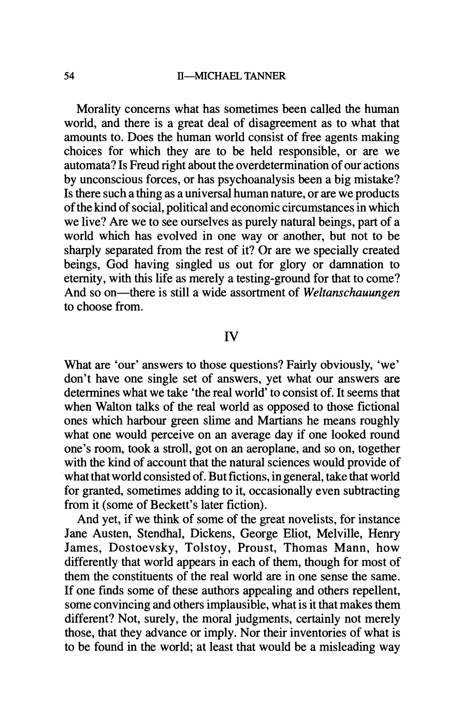**Morality concerns what has sometimes been called the human world, and there is a great deal of disagreement as to what that amounts to. Does the human world consist of free agents making choices for which they are to be held responsible, or are we automata? Is Freud right about the overdetermination of our actions by unconscious forces, or has psychoanalysis been a big mistake? Is there such a thing as a universal human nature, or are we products of the kind of social, political and economic circumstances in which we live? Are we to see ourselves as purely natural beings, part of a world which has evolved in one way or another, but not to be sharply separated from the rest of it? Or are we specially created beings, God having singled us out for glory or damnation to eternity, with this life as merely a testing-ground for that to come? And so on-there is still a wide assortment of Weltanschauungen to choose from.** 

#### **IV**

**What are 'our' answers to those questions? Fairly obviously, 'we' don't have one single set of answers, yet what our answers are determines what we take 'the real world' to consist of. It seems that when Walton talks of the real world as opposed to those fictional ones which harbour green slime and Martians he means roughly what one would perceive on an average day if one looked round one's room, took a stroll, got on an aeroplane, and so on, together with the kind of account that the natural sciences would provide of what that world consisted of. But fictions, in general, take that world for granted, sometimes adding to it, occasionally even subtracting from it (some of Beckett's later fiction).** 

**And yet, if we think of some of the great novelists, for instance Jane Austen, Stendhal, Dickens, George Eliot, Melville, Henry James, Dostoevsky, Tolstoy, Proust, Thomas Mann, how differently that world appears in each of them, though for most of them the constituents of the real world are in one sense the same. If one finds some of these authors appealing and others repellent, some convincing and others implausible, what is it that makes them different? Not, surely, the moral judgments, certainly not merely those, that they advance or imply. Nor their inventories of what is to be found in the world; at least that would be a misleading way**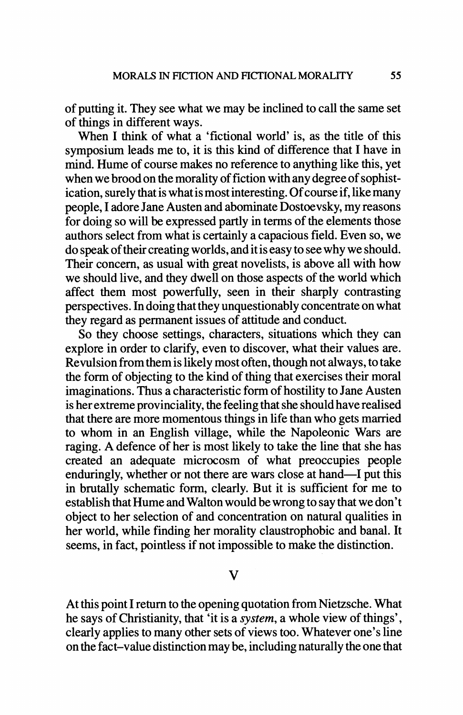**of putting it. They see what we may be inclined to call the same set of things in different ways.** 

**When I think of what a 'fictional world' is, as the title of this symposium leads me to, it is this kind of difference that I have in mind. Hume of course makes no reference to anything like this, yet when we brood on the morality of fiction with any degree of sophistication, surely that is what is most interesting. Of course if, like many people, I adore Jane Austen and abominate Dostoevsky, my reasons for doing so will be expressed partly in terms of the elements those authors select from what is certainly a capacious field. Even so, we do speak of their creating worlds, and itis easy to see why we should. Their concern, as usual with great novelists, is above all with how we should live, and they dwell on those aspects of the world which affect them most powerfully, seen in their sharply contrasting perspectives. In doing that they unquestionably concentrate on what they regard as permanent issues of attitude and conduct.** 

**So they choose settings, characters, situations which they can explore in order to clarify, even to discover, what their values are. Revulsion from them is likely most often, though not always, to take the form of objecting to the kind of thing that exercises their moral imaginations. Thus a characteristic form of hostility to Jane Austen is her extreme provinciality, the feeling that she should have realised that there are more momentous things in life than who gets married to whom in an English village, while the Napoleonic Wars are raging. A defence of her is most likely to take the line that she has created an adequate microcosm of what preoccupies people**  enduringly, whether or not there are wars close at hand—I put this **in brutally schematic form, clearly. But it is sufficient for me to establish that Hume and Walton would be wrong to say that we don't object to her selection of and concentration on natural qualities in her world, while finding her morality claustrophobic and banal. It seems, in fact, pointless if not impossible to make the distinction.** 

**V** 

**At this point I return to the opening quotation from Nietzsche. What he says of Christianity, that 'it is a system, a whole view of things', clearly applies to many other sets of views too. Whatever one's line on the fact-value distinction may be, including naturally the one that**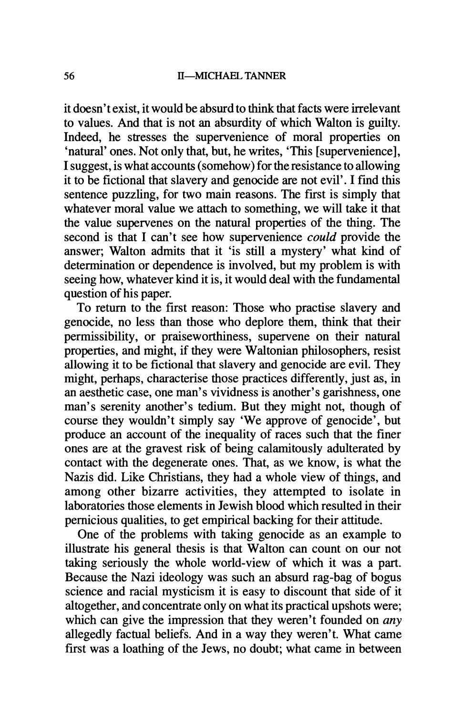**it doesn't exist, it would be absurd to think that facts were irrelevant to values. And that is not an absurdity of which Walton is guilty. Indeed, he stresses the supervenience of moral properties on 'natural' ones. Not only that, but, he writes, 'This [supervenience], I suggest, is what accounts (somehow) for the resistance to allowing it to be fictional that slavery and genocide are not evil'. I find this sentence puzzling, for two main reasons. The first is simply that whatever moral value we attach to something, we will take it that the value supervenes on the natural properties of the thing. The second is that I can't see how supervenience could provide the answer; Walton admits that it 'is still a mystery' what kind of determination or dependence is involved, but my problem is with seeing how, whatever kind it is, it would deal with the fundamental question of his paper.** 

**To return to the first reason: Those who practise slavery and genocide, no less than those who deplore them, think that their permissibility, or praiseworthiness, supervene on their natural properties, and might, if they were Waltonian philosophers, resist allowing it to be fictional that slavery and genocide are evil. They might, perhaps, characterise those practices differently, just as, in an aesthetic case, one man's vividness is another's garishness, one man's serenity another's tedium. But they might not, though of course they wouldn't simply say 'We approve of genocide', but produce an account of the inequality of races such that the finer ones are at the gravest risk of being calamitously adulterated by contact with the degenerate ones. That, as we know, is what the Nazis did. Like Christians, they had a whole view of things, and among other bizarre activities, they attempted to isolate in laboratories those elements in Jewish blood which resulted in their pernicious qualities, to get empirical backing for their attitude.** 

**One of the problems with taking genocide as an example to illustrate his general thesis is that Walton can count on our not taking seriously the whole world-view of which it was a part. Because the Nazi ideology was such an absurd rag-bag of bogus science and racial mysticism it is easy to discount that side of it altogether, and concentrate only on what its practical upshots were; which can give the impression that they weren't founded on any allegedly factual beliefs. And in a way they weren't. What came first was a loathing of the Jews, no doubt; what came in between**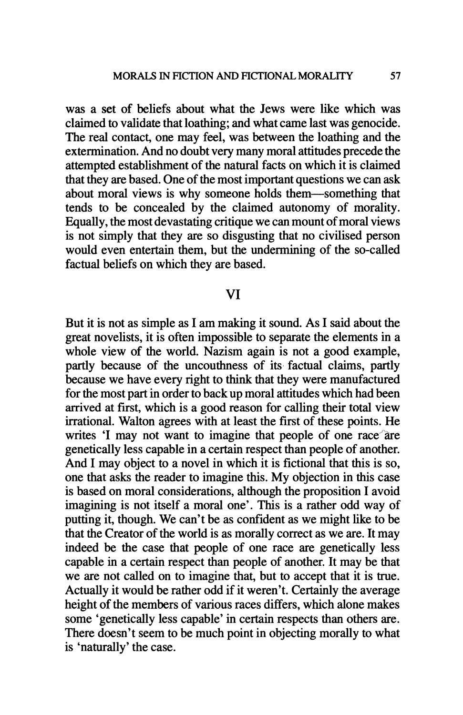**was a set of beliefs about what the Jews were like which was claimed to validate that loathing; and what came last was genocide. The real contact, one may feel, was between the loathing and the extermination. And no doubt very many moral attitudes precede the attempted establishment of the natural facts on which it is claimed that they are based. One of the most important questions we can ask about moral views is why someone holds them-something that tends to be concealed by the claimed autonomy of morality. Equally, the most devastating critique we can mount of moral views is not simply that they are so disgusting that no civilised person would even entertain them, but the undermining of the so-called factual beliefs on which they are based.** 

## **VI**

**But it is not as simple as I am making it sound. As I said about the great novelists, it is often impossible to separate the elements in a whole view of the world. Nazism again is not a good example, partly because of the uncouthness of its factual claims, partly because we have every right to think that they were manufactured for the most part in order to back up moral attitudes which had been arrived at first, which is a good reason for calling their total view irrational. Walton agrees with at least the first of these points. He**  writes 'I may not want to imagine that people of one race<sup>-</sup>are **genetically less capable in a certain respect than people of another. And I may object to a novel in which it is fictional that this is so, one that asks the reader to imagine this. My objection in this case is based on moral considerations, although the proposition I avoid imagining is not itself a moral one'. This is a rather odd way of putting it, though. We can't be as confident as we might like to be that the Creator of the world is as morally correct as we are. It may indeed be the case that people of one race are genetically less capable in a certain respect than people of another. It may be that we are not called on to imagine that, but to accept that it is true. Actually it would be rather odd if it weren't. Certainly the average height of the members of various races differs, which alone makes some 'genetically less capable' in certain respects than others are. There doesn't seem to be much point in objecting morally to what is 'naturally' the case.**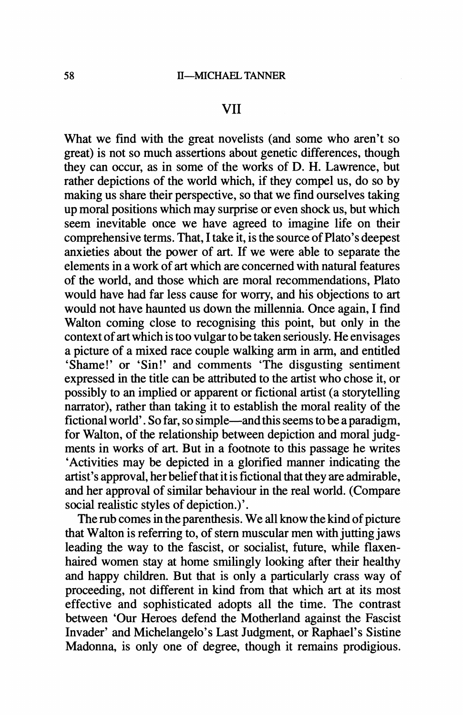## **VII**

**What we find with the great novelists (and some who aren't so great) is not so much assertions about genetic differences, though they can occur, as in some of the works of D. H. Lawrence, but rather depictions of the world which, if they compel us, do so by making us share their perspective, so that we find ourselves taking up moral positions which may surprise or even shock us, but which seem inevitable once we have agreed to imagine life on their comprehensive terms. That, I take it, is the source of Plato's deepest anxieties about the power of art. If we were able to separate the elements in a work of art which are concerned with natural features of the world, and those which are moral recommendations, Plato would have had far less cause for worry, and his objections to art would not have haunted us down the millennia. Once again, I find Walton coming close to recognising this point, but only in the context of art which is too vulgar to be taken seriously. He envisages a picture of a mixed race couple walking arm in arm, and entitled 'Shame!' or 'Sin!' and comments 'The disgusting sentiment expressed in the title can be attributed to the artist who chose it, or possibly to an implied or apparent or fictional artist (a storytelling narrator), rather than taking it to establish the moral reality of the fictional world'. So far, so simple-and this seems to be a paradigm, for Walton, of the relationship between depiction and moral judgments in works of art. But in a footnote to this passage he writes 'Activities may be depicted in a glorified manner indicating the artist's approval, her belief that it is fictional that they are admirable, and her approval of similar behaviour in the real world. (Compare social realistic styles of depiction.)'.** 

**The rub comes in the parenthesis. We all know the kind of picture that Walton is referring to, of stem muscular men with jutting jaws leading the way to the fascist, or socialist, future, while flaxenhaired women stay at home smilingly looking after their healthy and happy children. But that is only a particularly crass way of proceeding, not different in kind from that which art at its most effective and sophisticated adopts all the time. The contrast between 'Our Heroes defend the Motherland against the Fascist Invader' and Michelangelo's Last Judgment, or Raphael's Sistine Madonna, is only one of degree, though it remains prodigious.**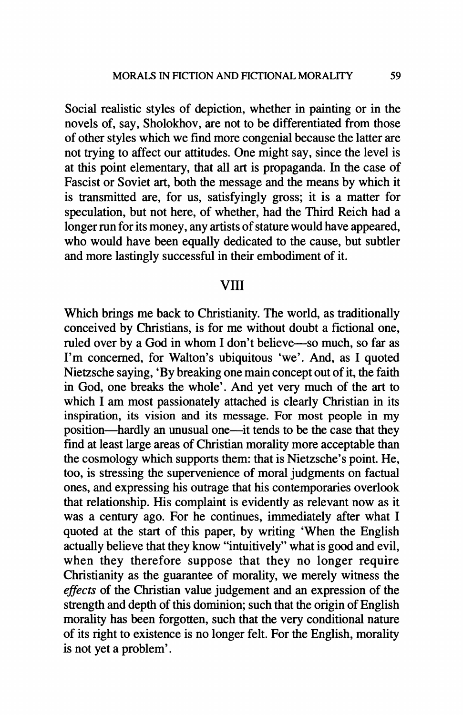**Social realistic styles of depiction, whether in painting or in the novels of, say, Sholokhov, are not to be differentiated from those of other styles which we find more congenial because the latter are not trying to affect our attitudes. One might say, since the level is at this point elementary, that all art is propaganda. In the case of Fascist or Soviet art, both the message and the means by which it is transmitted are, for us, satisfyingly gross; it is a matter for speculation, but not here, of whether, had the Third Reich had a longer run for its money, any artists of stature would have appeared, who would have been equally dedicated to the cause, but subtler and more lastingly successful in their embodiment of it.** 

#### **VIII**

**Which brings me back to Christianity. The world, as traditionally conceived by Christians, is for me without doubt a fictional one, ruled over by a God in whom I don't believe-so much, so far as I'm concerned, for Walton's ubiquitous 'we'. And, as I quoted Nietzsche saying, 'By breaking one main concept out of it, the faith in God, one breaks the whole'. And yet very much of the art to which I am most passionately attached is clearly Christian in its inspiration, its vision and its message. For most people in my position-hardly an unusual one-it tends to be the case that they find at least large areas of Christian morality more acceptable than the cosmology which supports them: that is Nietzsche's point. He, too, is stressing the supervenience of moral judgments on factual ones, and expressing his outrage that his contemporaries overlook that relationship. His complaint is evidently as relevant now as it was a century ago. For he continues, immediately after what I quoted at the start of this paper, by writing 'When the English actually believe that they know "intuitively" what is good and evil, when they therefore suppose that they no longer require Christianity as the guarantee of morality, we merely witness the effects of the Christian value judgement and an expression of the strength and depth of this dominion; such that the origin of English morality has been forgotten, such that the very conditional nature of its right to existence is no longer felt. For the English, morality is not yet a problem'.**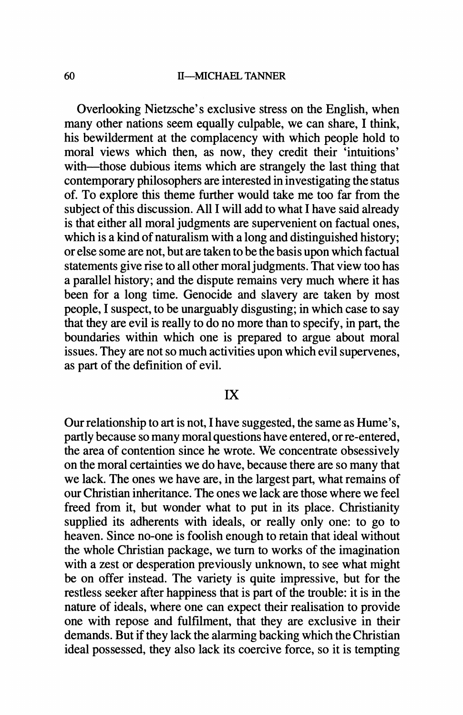**Overlooking Nietzsche's exclusive stress on the English, when many other nations seem equally culpable, we can share, I think, his bewilderment at the complacency with which people hold to moral views which then, as now, they credit their 'intuitions'**  with—those dubious items which are strangely the last thing that **contemporary philosophers are interested in investigating the status of. To explore this theme further would take me too far from the subject of this discussion. All I will add to what I have said already is that either all moral judgments are supervenient on factual ones, which is a kind of naturalism with a long and distinguished history; or else some are not, but are taken to be the basis upon which factual statements give rise to all other moral judgments. That view too has a parallel history; and the dispute remains very much where it has been for a long time. Genocide and slavery are taken by most people, I suspect, to be unarguably disgusting; in which case to say that they are evil is really to do no more than to specify, in part, the boundaries within which one is prepared to argue about moral issues. They are not so much activities upon which evil supervenes, as part of the definition of evil.** 

#### **IX**

**Our relationship to art is not, I have suggested, the same as Hume's, partly because so many moral questions have entered, or re-entered, the area of contention since he wrote. We concentrate obsessively on the moral certainties we do have, because there are so many that we lack. The ones we have are, in the largest part, what remains of our Christian inheritance. The ones we lack are those where we feel freed from it, but wonder what to put in its place. Christianity supplied its adherents with ideals, or really only one: to go to heaven. Since no-one is foolish enough to retain that ideal without the whole Christian package, we turn to works of the imagination with a zest or desperation previously unknown, to see what might be on offer instead. The variety is quite impressive, but for the restless seeker after happiness that is part of the trouble: it is in the nature of ideals, where one can expect their realisation to provide one with repose and fulfilment, that they are exclusive in their demands. But if they lack the alarming backing which the Christian ideal possessed, they also lack its coercive force, so it is tempting**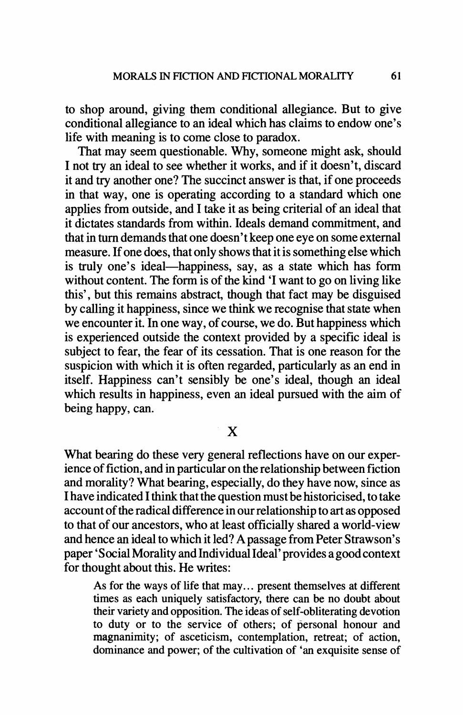**to shop around, giving them conditional allegiance. But to give conditional allegiance to an ideal which has claims to endow one's life with meaning is to come close to paradox.** 

**That may seem questionable. Why, someone might ask, should I not try an ideal to see whether it works, and if it doesn't, discard it and try another one? The succinct answer is that, if one proceeds in that way, one is operating according to a standard which one applies from outside, and I take it as being criterial of an ideal that it dictates standards from within. Ideals demand commitment, and that in turn demands that one doesn't keep one eye on some external measure. If one does, that only shows that it is something else which is truly one's ideal-happiness, say, as a state which has form without content. The form is of the kind 'I want to go on living like this', but this remains abstract, though that fact may be disguised by calling it happiness, since we think we recognise that state when we encounter it. In one way, of course, we do. But happiness which is experienced outside the context provided by a specific ideal is subject to fear, the fear of its cessation. That is one reason for the suspicion with which it is often regarded, particularly as an end in itself. Happiness can't sensibly be one's ideal, though an ideal which results in happiness, even an ideal pursued with the aim of being happy, can.** 

## **X**

**What bearing do these very general reflections have on our experience of fiction, and in particular on the relationship between fiction and morality? What bearing, especially, do they have now, since as I have indicated I think that the question must be historicised, to take account of the radical difference in our relationship to art as opposed to that of our ancestors, who at least officially shared a world-view and hence an ideal to which it led? A passage from Peter Strawson's paper 'Social Morality and Individual Ideal' provides a good context for thought about this. He writes:** 

**As for the ways of life that may... present themselves at different times as each uniquely satisfactory, there can be no doubt about their variety and opposition. The ideas of self-obliterating devotion to duty or to the service of others; of personal honour and magnanimity; of asceticism, contemplation, retreat; of action, dominance and power; of the cultivation of 'an exquisite sense of**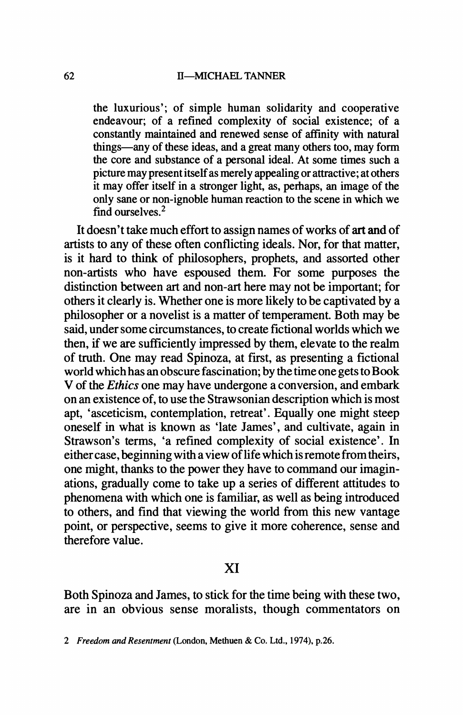**the luxurious'; of simple human solidarity and cooperative endeavour; of a refined complexity of social existence; of a constantly maintained and renewed sense of affinity with natural things-any of these ideas, and a great many others too, may form the core and substance of a personal ideal. At some times such a picture may present itself as merely appealing or attractive; at others it may offer itself in a stronger light, as, perhaps, an image of the only sane or non-ignoble human reaction to the scene in which we find ourselves.2** 

**It doesn't take much effort to assign names of works of art and of artists to any of these often conflicting ideals. Nor, for that matter, is it hard to think of philosophers, prophets, and assorted other non-artists who have espoused them. For some purposes the distinction between art and non-art here may not be important; for others it clearly is. Whether one is more likely to be captivated by a philosopher or a novelist is a matter of temperament. Both may be said, under some circumstances, to create fictional worlds which we then, if we are sufficiently impressed by them, elevate to the realm of truth. One may read Spinoza, at first, as presenting a fictional world which has an obscure fascination; by the time one gets to Book V of the Ethics one may have undergone a conversion, and embark on an existence of, to use the Strawsonian description which is most apt, 'asceticism, contemplation, retreat'. Equally one might steep oneself in what is known as 'late James', and cultivate, again in Strawson's terms, 'a refined complexity of social existence'. In either case, beginning with a view of life which is remote from theirs, one might, thanks to the power they have to command our imaginations, gradually come to take up a series of different attitudes to phenomena with which one is familiar, as well as being introduced to others, and find that viewing the world from this new vantage point, or perspective, seems to give it more coherence, sense and therefore value.** 

## **XI**

**Both Spinoza and James, to stick for the time being with these two, are in an obvious sense moralists, though commentators on** 

**2 Freedom and Resentment (London, Methuen & Co. Ltd., 1974), p.26.**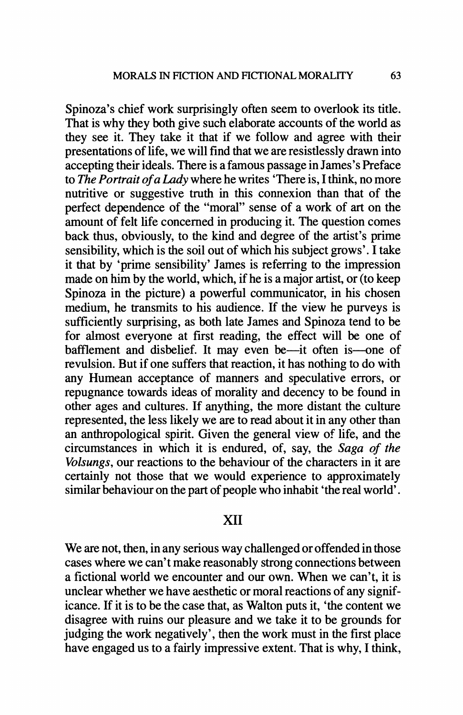**Spinoza's chief work surprisingly often seem to overlook its title. That is why they both give such elaborate accounts of the world as they see it. They take it that if we follow and agree with their presentations of life, we will find that we are resistlessly drawn into accepting their ideals. There is a famous passage in James's Preface to The Portrait ofa Lady where he writes 'There is, I think, no more nutritive or suggestive truth in this connexion than that of the perfect dependence of the "moral" sense of a work of art on the amount of felt life concerned in producing it. The question comes back thus, obviously, to the kind and degree of the artist's prime sensibility, which is the soil out of which his subject grows'. I take it that by 'prime sensibility' James is referring to the impression made on him by the world, which, if he is a major artist, or (to keep Spinoza in the picture) a powerful communicator, in his chosen medium, he transmits to his audience. If the view he purveys is sufficiently surprising, as both late James and Spinoza tend to be for almost everyone at first reading, the effect will be one of**  bafflement and disbelief. It may even be-it often is-one of **revulsion. But if one suffers that reaction, it has nothing to do with any Humean acceptance of manners and speculative errors, or repugnance towards ideas of morality and decency to be found in other ages and cultures. If anything, the more distant the culture represented, the less likely we are to read about it in any other than an anthropological spirit. Given the general view of life, and the circumstances in which it is endured, of, say, the Saga of the Volsungs, our reactions to the behaviour of the characters in it are certainly not those that we would experience to approximately similar behaviour on the part of people who inhabit 'the real world'.** 

## **XII**

**We are not, then, in any serious way challenged or offended in those cases where we can't make reasonably strong connections between a fictional world we encounter and our own. When we can't, it is unclear whether we have aesthetic or moral reactions of any significance. If it is to be the case that, as Walton puts it, 'the content we disagree with ruins our pleasure and we take it to be grounds for judging the work negatively', then the work must in the first place have engaged us to a fairly impressive extent. That is why, I think,**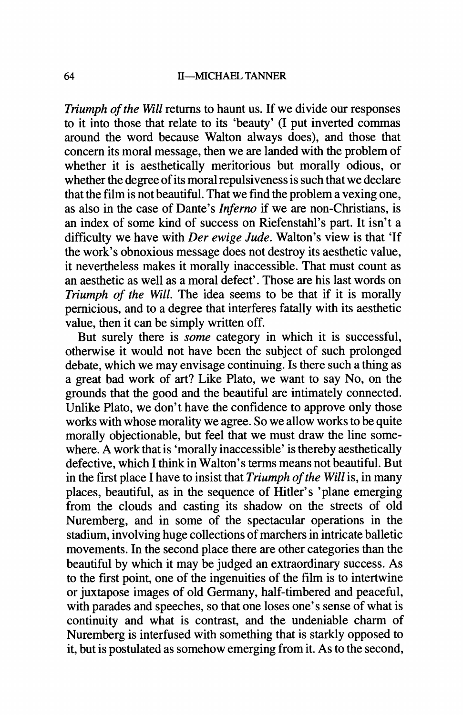**Triumph of the Will returns to haunt us. If we divide our responses to it into those that relate to its 'beauty' (I put inverted commas around the word because Walton always does), and those that concern its moral message, then we are landed with the problem of whether it is aesthetically meritorious but morally odious, or whether the degree of its moral repulsiveness is such that we declare that the film is not beautiful. That we find the problem a vexing one, as also in the case of Dante's Inferno if we are non-Christians, is an index of some kind of success on Riefenstahl's part. It isn't a difficulty we have with Der ewige Jude. Walton's view is that 'If the work's obnoxious message does not destroy its aesthetic value, it nevertheless makes it morally inaccessible. That must count as an aesthetic as well as a moral defect'. Those are his last words on Triumph of the Will. The idea seems to be that if it is morally pernicious, and to a degree that interferes fatally with its aesthetic value, then it can be simply written off.** 

**But surely there is some category in which it is successful, otherwise it would not have been the subject of such prolonged debate, which we may envisage continuing. Is there such a thing as a great bad work of art? Like Plato, we want to say No, on the grounds that the good and the beautiful are intimately connected. Unlike Plato, we don't have the confidence to approve only those works with whose morality we agree. So we allow works to be quite morally objectionable, but feel that we must draw the line somewhere. A work that is 'morally inaccessible' is thereby aesthetically defective, which I think in Walton's terms means not beautiful. But in the first place I have to insist that Triumph of the Will is, in many places, beautiful, as in the sequence of Hitler's 'plane emerging from the clouds and casting its shadow on the streets of old Nuremberg, and in some of the spectacular operations in the stadium, involving huge collections of marchers in intricate balletic movements. In the second place there are other categories than the beautiful by which it may be judged an extraordinary success. As to the first point, one of the ingenuities of the film is to intertwine or juxtapose images of old Germany, half-timbered and peaceful, with parades and speeches, so that one loses one's sense of what is continuity and what is contrast, and the undeniable charm of Nuremberg is interfused with something that is starkly opposed to it, but is postulated as somehow emerging from it. As to the second,**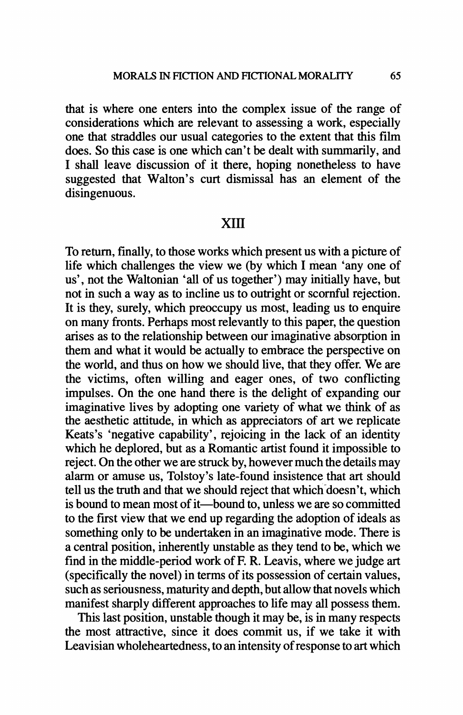**that is where one enters into the complex issue of the range of considerations which are relevant to assessing a work, especially one that straddles our usual categories to the extent that this film does. So this case is one which can't be dealt with summarily, and I shall leave discussion of it there, hoping nonetheless to have suggested that Walton's curt dismissal has an element of the disingenuous.** 

## **XIII**

**To return, finally, to those works which present us with a picture of life which challenges the view we (by which I mean 'any one of us', not the Waltonian 'all of us together') may initially have, but not in such a way as to incline us to outright or scornful rejection. It is they, surely, which preoccupy us most, leading us to enquire on many fronts. Perhaps most relevantly to this paper, the question arises as to the relationship between our imaginative absorption in them and what it would be actually to embrace the perspective on the world, and thus on how we should live, that they offer. We are the victims, often willing and eager ones, of two conflicting impulses. On the one hand there is the delight of expanding our imaginative lives by adopting one variety of what we think of as the aesthetic attitude, in which as appreciators of art we replicate Keats's 'negative capability', rejoicing in the lack of an identity which he deplored, but as a Romantic artist found it impossible to reject. On the other we are struck by, however much the details may alarm or amuse us, Tolstoy's late-found insistence that art should tell us the truth and that we should reject that which doesn't, which is bound to mean most of it-bound to, unless we are so committed to the first view that we end up regarding the adoption of ideals as something only to be undertaken in an imaginative mode. There is a central position, inherently unstable as they tend to be, which we find in the middle-period work of F. R. Leavis, where we judge art (specifically the novel) in terms of its possession of certain values, such as seriousness, maturity and depth, but allow that novels which manifest sharply different approaches to life may all possess them.** 

**This last position, unstable though it may be, is in many respects the most attractive, since it does commit us, if we take it with Leavisian wholeheartedness, to an intensity of response to art which**